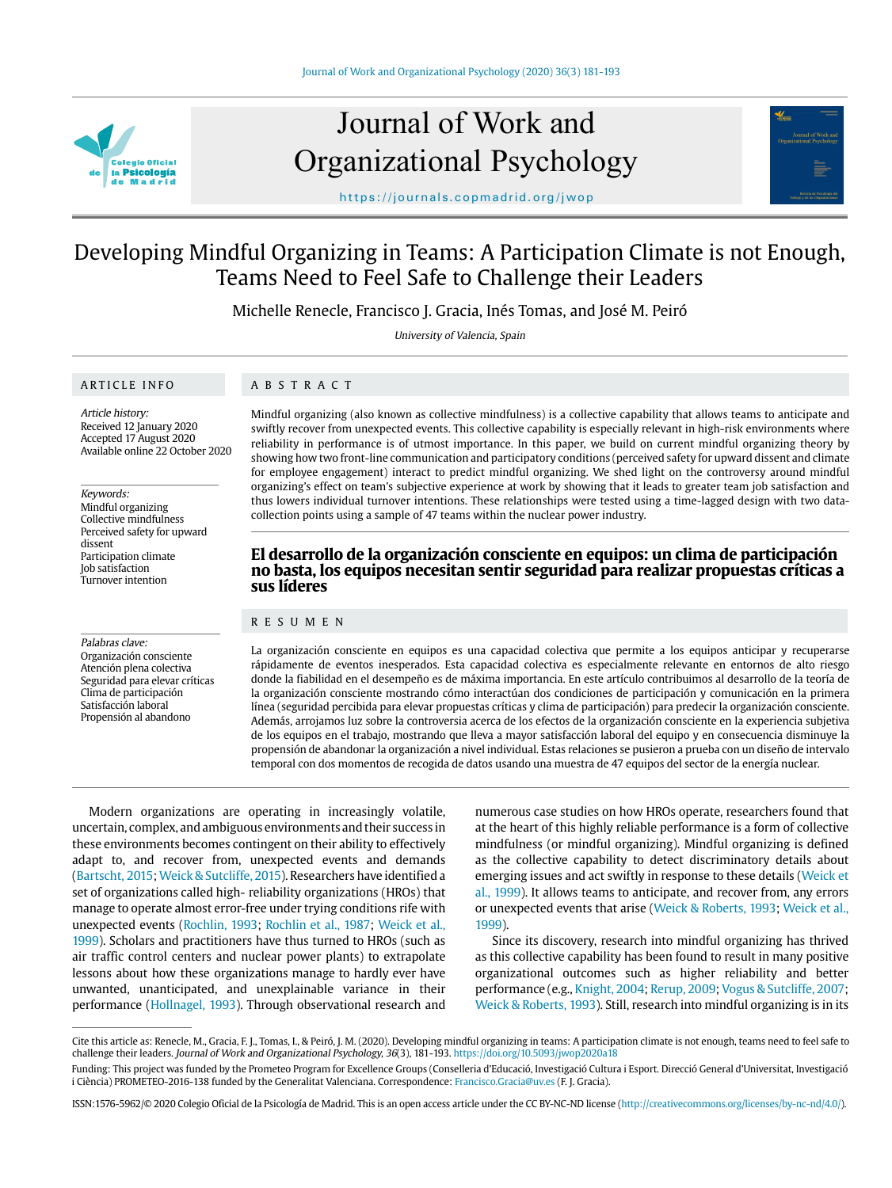

# Journal of Work and Organizational Psychology



https://journals.copmadrid.org/jwop

# Developing Mindful Organizing in Teams: A Participation Climate is not Enough, Teams Need to Feel Safe to Challenge their Leaders

Michelle Renecle, Francisco J. Gracia, Inés Tomas, and José M. Peiró

University of Valencia, Spain

## ARTICLE INFO

# ABSTRACT

Article history: Received 12 January 2020 Accepted 17 August 2020 Available online 22 October 2020

Keywords:

Mindful organizing Collective mindfulness Perceived safety for upward dissent Participation climate Job satisfaction Turnover intention

Palabras clave:

Organización consciente Atención plena colectiva Seguridad para elevar críticas Clima de participación Satisfacción laboral Propensión al abandono

Mindful organizing (also known as collective mindfulness) is a collective capability that allows teams to anticipate and swiftly recover from unexpected events. This collective capability is especially relevant in high-risk environments where reliability in performance is of utmost importance. In this paper, we build on current mindful organizing theory by showing how two front-line communication and participatory conditions (perceived safety for upward dissent and climate for employee engagement) interact to predict mindful organizing. We shed light on the controversy around mindful organizing's effect on team's subjective experience at work by showing that it leads to greater team job satisfaction and thus lowers individual turnover intentions. These relationships were tested using a time-lagged design with two datacollection points using a sample of 47 teams within the nuclear power industry.

# **El desarrollo de la organización consciente en equipos: un clima de participación no basta, los equipos necesitan sentir seguridad para realizar propuestas críticas a sus líderes**

# RESUMEN

La organización consciente en equipos es una capacidad colectiva que permite a los equipos anticipar y recuperarse rápidamente de eventos inesperados. Esta capacidad colectiva es especialmente relevante en entornos de alto riesgo donde la fiabilidad en el desempeño es de máxima importancia. En este artículo contribuimos al desarrollo de la teoría de la organización consciente mostrando cómo interactúan dos condiciones de participación y comunicación en la primera línea (seguridad percibida para elevar propuestas críticas y clima de participación) para predecir la organización consciente. Además, arrojamos luz sobre la controversia acerca de los efectos de la organización consciente en la experiencia subjetiva de los equipos en el trabajo, mostrando que lleva a mayor satisfacción laboral del equipo y en consecuencia disminuye la propensión de abandonar la organización a nivel individual. Estas relaciones se pusieron a prueba con un diseño de intervalo temporal con dos momentos de recogida de datos usando una muestra de 47 equipos del sector de la energía nuclear.

Modern organizations are operating in increasingly volatile, uncertain, complex, and ambiguous environments and their success in these environments becomes contingent on their ability to effectively adapt to, and recover from, unexpected events and demands [\(Bartscht, 2015](#page-10-0); [Weick & Sutcliffe, 2015\)](#page-12-0). Researchers have identified a set of organizations called high- reliability organizations (HROs) that manage to operate almost error-free under trying conditions rife with unexpected events ([Rochlin, 1993](#page-11-0); [Rochlin et al., 1987](#page-11-0); [Weick et al.,](#page-12-0)  [1999\)](#page-12-0). Scholars and practitioners have thus turned to HROs (such as air traffic control centers and nuclear power plants) to extrapolate lessons about how these organizations manage to hardly ever have unwanted, unanticipated, and unexplainable variance in their performance ([Hollnagel, 1993\)](#page-11-1). Through observational research and

numerous case studies on how HROs operate, researchers found that at the heart of this highly reliable performance is a form of collective mindfulness (or mindful organizing). Mindful organizing is defined as the collective capability to detect discriminatory details about emerging issues and act swiftly in response to these details [\(Weick et](#page-12-0)  [al., 1999\)](#page-12-0). It allows teams to anticipate, and recover from, any errors or unexpected events that arise ([Weick & Roberts, 1993](#page-12-0); [Weick et al.,](#page-12-1)  [1999](#page-12-1)).

Since its discovery, research into mindful organizing has thrived as this collective capability has been found to result in many positive organizational outcomes such as higher reliability and better performance (e.g., [Knight, 2004](#page-11-2); [Rerup, 2009](#page-11-3); [Vogus & Sutcliffe, 2007](#page-11-4); [Weick & Roberts, 1993](#page-12-1)). Still, research into mindful organizing is in its

ISSN:1576-5962/© 2020 Colegio Oficial de la Psicología de Madrid. This is an open access article under the CC BY-NC-ND license (http://creativecommons.org/licenses/by-nc-nd/4.0/).

Cite this article as: Renecle, M., Gracia, F. J., Tomas, I., & Peiró, J. M. (2020). Developing mindful organizing in teams: A participation climate is not enough, teams need to feel safe to challenge their leaders. Journal of Work and Organizational Psychology, 36(3), 181-193. https://doi.org/10.5093/jwop2020a18

Funding: This project was funded by the Prometeo Program for Excellence Groups (Conselleria d'Educació, Investigació Cultura i Esport. Direcció General d'Universitat, Investigació i Ciència) PROMETEO-2016-138 funded by the Generalitat Valenciana. Correspondence: Francisco.Gracia@uv.es (F. J. Gracia).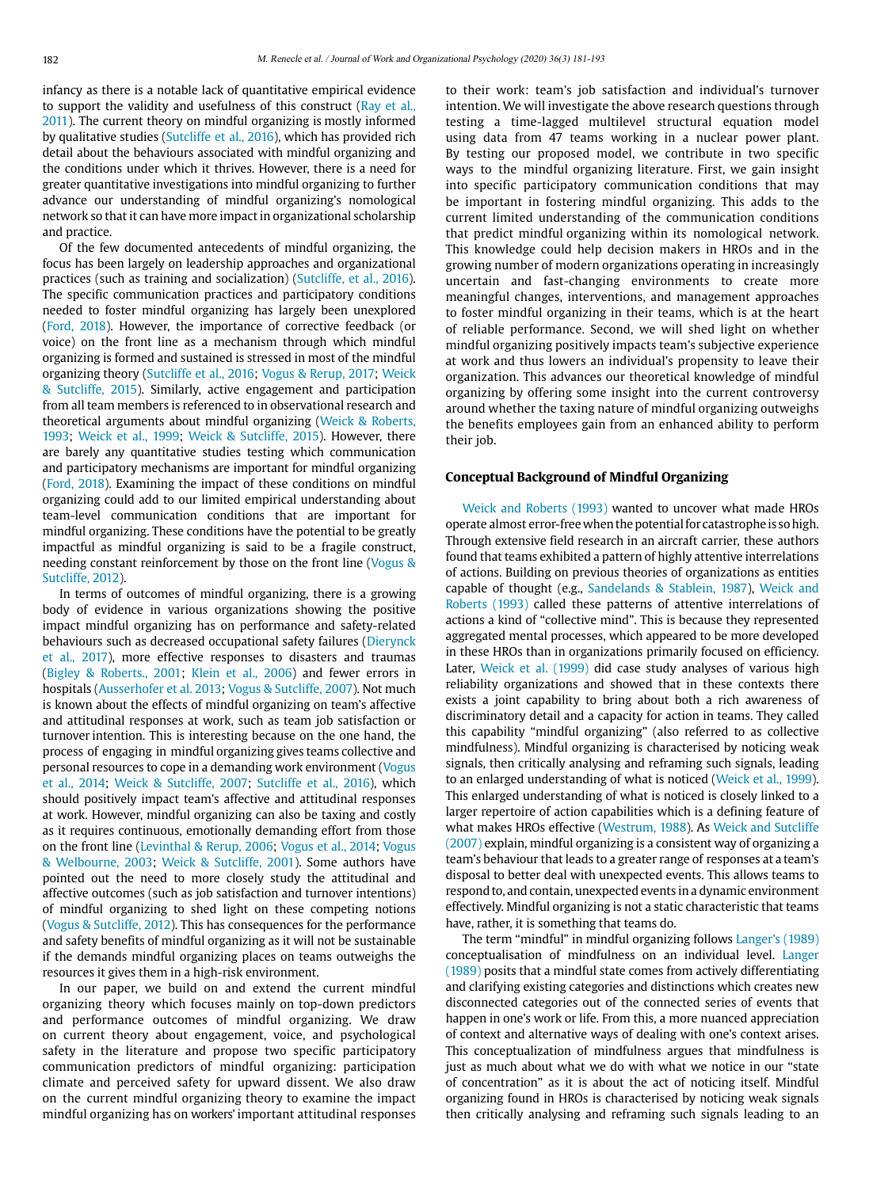infancy as there is a notable lack of quantitative empirical evidence to support the validity and usefulness of this construct [\(Ray et al.,](#page-11-5)  [2011\)](#page-11-5). The current theory on mindful organizing is mostly informed by qualitative studies [\(Sutcliffe et al., 2016\)](#page-11-6), which has provided rich detail about the behaviours associated with mindful organizing and the conditions under which it thrives. However, there is a need for greater quantitative investigations into mindful organizing to further advance our understanding of mindful organizing's nomological network so that it can have more impact in organizational scholarship and practice.

Of the few documented antecedents of mindful organizing, the focus has been largely on leadership approaches and organizational practices (such as training and socialization) ([Sutcliffe, et al., 2016](#page-11-6)). The specific communication practices and participatory conditions needed to foster mindful organizing has largely been unexplored [\(Ford, 2018\)](#page-11-7). However, the importance of corrective feedback (or voice) on the front line as a mechanism through which mindful organizing is formed and sustained is stressed in most of the mindful organizing theory [\(Sutcliffe et al., 2016;](#page-11-6) [Vogus & Rerup, 2017](#page-11-4); [Weick](#page-12-1)  [& Sutcliffe, 2015\)](#page-12-1). Similarly, active engagement and participation from all team members is referenced to in observational research and theoretical arguments about mindful organizing ([Weick & Roberts,](#page-12-1)  [1993](#page-12-1); [Weick et al., 1999;](#page-12-0) [Weick & Sutcliffe, 2015](#page-12-0)). However, there are barely any quantitative studies testing which communication and participatory mechanisms are important for mindful organizing [\(Ford, 2018\)](#page-11-7). Examining the impact of these conditions on mindful organizing could add to our limited empirical understanding about team-level communication conditions that are important for mindful organizing. These conditions have the potential to be greatly impactful as mindful organizing is said to be a fragile construct, needing constant reinforcement by those on the front line ([Vogus &](#page-11-4)  [Sutcliffe, 2012\)](#page-11-4).

In terms of outcomes of mindful organizing, there is a growing body of evidence in various organizations showing the positive impact mindful organizing has on performance and safety-related behaviours such as decreased occupational safety failures [\(Dierynck](#page-11-8)  [et al., 2017](#page-11-8)), more effective responses to disasters and traumas [\(Bigley & Roberts., 2001](#page-10-1); [Klein et al., 2006](#page-11-9)) and fewer errors in hospitals ([Ausserhofer et al. 2013;](#page-10-2) [Vogus & Sutcliffe, 2007\)](#page-11-4). Not much is known about the effects of mindful organizing on team's affective and attitudinal responses at work, such as team job satisfaction or turnover intention. This is interesting because on the one hand, the process of engaging in mindful organizing gives teams collective and personal resources to cope in a demanding work environment ([Vogus](#page-11-4)  [et al., 2014](#page-11-4); [Weick & Sutcliffe, 2007](#page-12-0); [Sutcliffe et al., 2016\)](#page-11-6), which should positively impact team's affective and attitudinal responses at work. However, mindful organizing can also be taxing and costly as it requires continuous, emotionally demanding effort from those on the front line ([Levinthal & Rerup, 2006](#page-11-10); [Vogus et al., 2014](#page-11-4); [Vogus](#page-11-4)  [& Welbourne, 2003;](#page-11-4) [Weick & Sutcliffe, 2001\)](#page-12-0). Some authors have pointed out the need to more closely study the attitudinal and affective outcomes (such as job satisfaction and turnover intentions) of mindful organizing to shed light on these competing notions [\(Vogus & Sutcliffe, 2012](#page-11-4)). This has consequences for the performance and safety benefits of mindful organizing as it will not be sustainable if the demands mindful organizing places on teams outweighs the resources it gives them in a high-risk environment.

In our paper, we build on and extend the current mindful organizing theory which focuses mainly on top-down predictors and performance outcomes of mindful organizing. We draw on current theory about engagement, voice, and psychological safety in the literature and propose two specific participatory communication predictors of mindful organizing: participation climate and perceived safety for upward dissent. We also draw on the current mindful organizing theory to examine the impact mindful organizing has on workers' important attitudinal responses

to their work: team's job satisfaction and individual's turnover intention. We will investigate the above research questions through testing a time-lagged multilevel structural equation model using data from 47 teams working in a nuclear power plant. By testing our proposed model, we contribute in two specific ways to the mindful organizing literature. First, we gain insight into specific participatory communication conditions that may be important in fostering mindful organizing. This adds to the current limited understanding of the communication conditions that predict mindful organizing within its nomological network. This knowledge could help decision makers in HROs and in the growing number of modern organizations operating in increasingly uncertain and fast-changing environments to create more meaningful changes, interventions, and management approaches to foster mindful organizing in their teams, which is at the heart of reliable performance. Second, we will shed light on whether mindful organizing positively impacts team's subjective experience at work and thus lowers an individual's propensity to leave their organization. This advances our theoretical knowledge of mindful organizing by offering some insight into the current controversy around whether the taxing nature of mindful organizing outweighs the benefits employees gain from an enhanced ability to perform their job.

#### **Conceptual Background of Mindful Organizing**

Weick and [Roberts \(1993\) w](#page-12-0)anted to uncover what made HROs operate almost error-free when the potential for catastrophe is so high. Through extensive field research in an aircraft carrier, these authors found that teams exhibited a pattern of highly attentive interrelations of actions. Building on previous theories of organizations as entities capable of thought (e.g., [Sandelands & Stablein, 1987](#page-11-11)), Weick and [Roberts \(1993\)](#page-12-0) called these patterns of attentive interrelations of actions a kind of "collective mind". This is because they represented aggregated mental processes, which appeared to be more developed in these HROs than in organizations primarily focused on efficiency. Later, [Weick et al. \(1999\)](#page-12-0) did case study analyses of various high reliability organizations and showed that in these contexts there exists a joint capability to bring about both a rich awareness of discriminatory detail and a capacity for action in teams. They called this capability "mindful organizing" (also referred to as collective mindfulness). Mindful organizing is characterised by noticing weak signals, then critically analysing and reframing such signals, leading to an enlarged understanding of what is noticed [\(Weick et al., 1999](#page-12-0)). This enlarged understanding of what is noticed is closely linked to a larger repertoire of action capabilities which is a defining feature of what makes HROs effective ([Westrum, 1988](#page-12-1)). As [Weick and Sutcliffe](#page-12-0) [\(2007\)](#page-12-0) explain, mindful organizing is a consistent way of organizing a team's behaviour that leads to a greater range of responses at a team's disposal to better deal with unexpected events. This allows teams to respond to, and contain, unexpected events in a dynamic environment effectively. Mindful organizing is not a static characteristic that teams have, rather, it is something that teams do.

The term "mindful" in mindful organizing follows [Langer's \(1989\)](#page-11-12) conceptualisation of mindfulness on an individual level. [Langer](#page-11-12) [\(1989\)](#page-11-12) posits that a mindful state comes from actively differentiating and clarifying existing categories and distinctions which creates new disconnected categories out of the connected series of events that happen in one's work or life. From this, a more nuanced appreciation of context and alternative ways of dealing with one's context arises. This conceptualization of mindfulness argues that mindfulness is just as much about what we do with what we notice in our "state of concentration" as it is about the act of noticing itself. Mindful organizing found in HROs is characterised by noticing weak signals then critically analysing and reframing such signals leading to an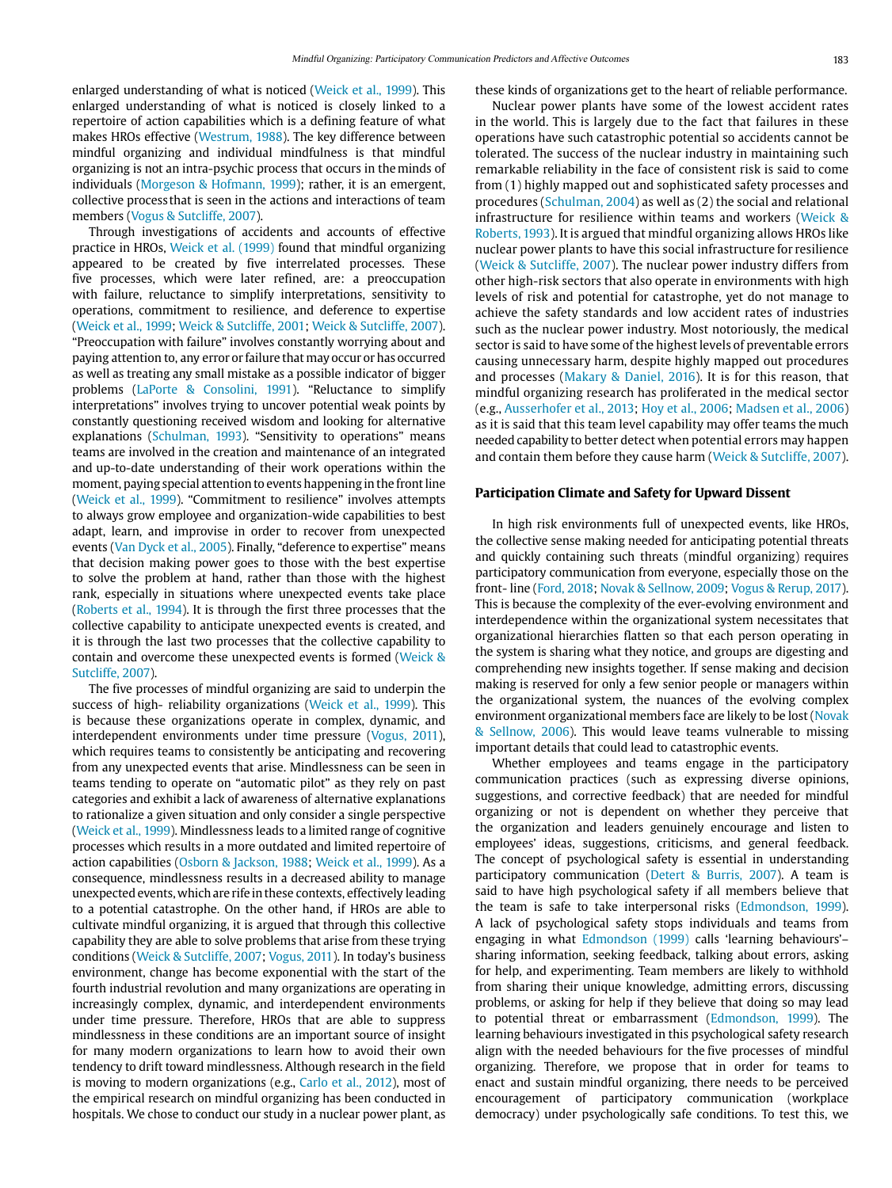enlarged understanding of what is noticed [\(Weick et al., 1999](#page-12-0)). This enlarged understanding of what is noticed is closely linked to a repertoire of action capabilities which is a defining feature of what makes HROs effective ([Westrum, 1988\)](#page-12-1). The key difference between mindful organizing and individual mindfulness is that mindful organizing is not an intra-psychic process that occurs in the minds of individuals [\(Morgeson & Hofmann, 1999\)](#page-11-13); rather, it is an emergent, collective process that is seen in the actions and interactions of team members ([Vogus & Sutcliffe, 2007](#page-11-4)).

Through investigations of accidents and accounts of effective practice in HROs, [Weick et al. \(1999\) f](#page-12-0)ound that mindful organizing appeared to be created by five interrelated processes. These five processes, which were later refined, are: a preoccupation with failure, reluctance to simplify interpretations, sensitivity to operations, commitment to resilience, and deference to expertise [\(Weick et al., 1999;](#page-12-0) [Weick & Sutcliffe, 2001;](#page-12-0) [Weick & Sutcliffe, 2007\)](#page-12-0). "Preoccupation with failure" involves constantly worrying about and paying attention to, any error or failure that may occur or has occurred as well as treating any small mistake as a possible indicator of bigger problems [\(LaPorte & Consolini, 1991](#page-11-14)). "Reluctance to simplify interpretations" involves trying to uncover potential weak points by constantly questioning received wisdom and looking for alternative explanations ([Schulman, 1993\)](#page-11-15). "Sensitivity to operations" means teams are involved in the creation and maintenance of an integrated and up-to-date understanding of their work operations within the moment, paying special attention to events happening in the front line [\(Weick et al., 1999\)](#page-12-0). "Commitment to resilience" involves attempts to always grow employee and organization-wide capabilities to best adapt, learn, and improvise in order to recover from unexpected events ([Van Dyck et al., 2005\)](#page-11-16). Finally, "deference to expertise" means that decision making power goes to those with the best expertise to solve the problem at hand, rather than those with the highest rank, especially in situations where unexpected events take place [\(Roberts et al., 1994\)](#page-11-17). It is through the first three processes that the collective capability to anticipate unexpected events is created, and it is through the last two processes that the collective capability to contain and overcome these unexpected events is formed ([Weick &](#page-12-0)  [Sutcliffe, 2007](#page-12-0)).

The five processes of mindful organizing are said to underpin the success of high- reliability organizations ([Weick et al., 1999](#page-12-1)). This is because these organizations operate in complex, dynamic, and interdependent environments under time pressure [\(Vogus, 2011\)](#page-11-4), which requires teams to consistently be anticipating and recovering from any unexpected events that arise. Mindlessness can be seen in teams tending to operate on "automatic pilot" as they rely on past categories and exhibit a lack of awareness of alternative explanations to rationalize a given situation and only consider a single perspective [\(Weick et al., 1999\)](#page-12-0). Mindlessness leads to a limited range of cognitive processes which results in a more outdated and limited repertoire of action capabilities ([Osborn & Jackson, 1988;](#page-11-18) [Weick et al., 1999](#page-12-0)). As a consequence, mindlessness results in a decreased ability to manage unexpected events, which are rife in these contexts, effectively leading to a potential catastrophe. On the other hand, if HROs are able to cultivate mindful organizing, it is argued that through this collective capability they are able to solve problems that arise from these trying conditions [\(Weick & Sutcliffe, 2007;](#page-12-0) [Vogus, 2011](#page-11-4)). In today's business environment, change has become exponential with the start of the fourth industrial revolution and many organizations are operating in increasingly complex, dynamic, and interdependent environments under time pressure. Therefore, HROs that are able to suppress mindlessness in these conditions are an important source of insight for many modern organizations to learn how to avoid their own tendency to drift toward mindlessness. Although research in the field is moving to modern organizations (e.g., [Carlo et al., 2012\)](#page-10-3), most of the empirical research on mindful organizing has been conducted in hospitals. We chose to conduct our study in a nuclear power plant, as

these kinds of organizations get to the heart of reliable performance.

Nuclear power plants have some of the lowest accident rates in the world. This is largely due to the fact that failures in these operations have such catastrophic potential so accidents cannot be tolerated. The success of the nuclear industry in maintaining such remarkable reliability in the face of consistent risk is said to come from (1) highly mapped out and sophisticated safety processes and procedures [\(Schulman, 2004](#page-11-15)) as well as (2) the social and relational infrastructure for resilience within teams and workers ([Weick &](#page-12-0)  [Roberts, 1993\)](#page-12-0). It is argued that mindful organizing allows HROs like nuclear power plants to have this social infrastructure for resilience ([Weick & Sutcliffe, 2007](#page-12-0)). The nuclear power industry differs from other high-risk sectors that also operate in environments with high levels of risk and potential for catastrophe, yet do not manage to achieve the safety standards and low accident rates of industries such as the nuclear power industry. Most notoriously, the medical sector is said to have some of the highest levels of preventable errors causing unnecessary harm, despite highly mapped out procedures and processes ([Makary & Daniel, 2016\)](#page-11-19). It is for this reason, that mindful organizing research has proliferated in the medical sector (e.g., [Ausserhofer et al., 2013;](#page-10-2) [Hoy et al., 2006;](#page-11-20) [Madsen et al., 2006\)](#page-11-21) as it is said that this team level capability may offer teams the much needed capability to better detect when potential errors may happen and contain them before they cause harm [\(Weick & Sutcliffe, 2007](#page-12-0)).

#### **Participation Climate and Safety for Upward Dissent**

In high risk environments full of unexpected events, like HROs, the collective sense making needed for anticipating potential threats and quickly containing such threats (mindful organizing) requires participatory communication from everyone, especially those on the front- line [\(Ford, 2018](#page-11-7); [Novak & Sellnow, 2009;](#page-11-22) [Vogus & Rerup, 2017](#page-11-4)). This is because the complexity of the ever-evolving environment and interdependence within the organizational system necessitates that organizational hierarchies flatten so that each person operating in the system is sharing what they notice, and groups are digesting and comprehending new insights together. If sense making and decision making is reserved for only a few senior people or managers within the organizational system, the nuances of the evolving complex environment organizational members face are likely to be lost [\(Novak](#page-11-22)  [& Sellnow, 2006](#page-11-22)). This would leave teams vulnerable to missing important details that could lead to catastrophic events.

Whether employees and teams engage in the participatory communication practices (such as expressing diverse opinions, suggestions, and corrective feedback) that are needed for mindful organizing or not is dependent on whether they perceive that the organization and leaders genuinely encourage and listen to employees' ideas, suggestions, criticisms, and general feedback. The concept of psychological safety is essential in understanding participatory communication [\(Detert & Burris, 2007\)](#page-11-23). A team is said to have high psychological safety if all members believe that the team is safe to take interpersonal risks ([Edmondson, 1999](#page-11-24)). A lack of psychological safety stops individuals and teams from engaging in what [Edmondson \(1999\)](#page-11-24) calls 'learning behaviours'– sharing information, seeking feedback, talking about errors, asking for help, and experimenting. Team members are likely to withhold from sharing their unique knowledge, admitting errors, discussing problems, or asking for help if they believe that doing so may lead to potential threat or embarrassment ([Edmondson, 1999](#page-11-24)). The learning behaviours investigated in this psychological safety research align with the needed behaviours for the five processes of mindful organizing. Therefore, we propose that in order for teams to enact and sustain mindful organizing, there needs to be perceived encouragement of participatory communication (workplace democracy) under psychologically safe conditions. To test this, we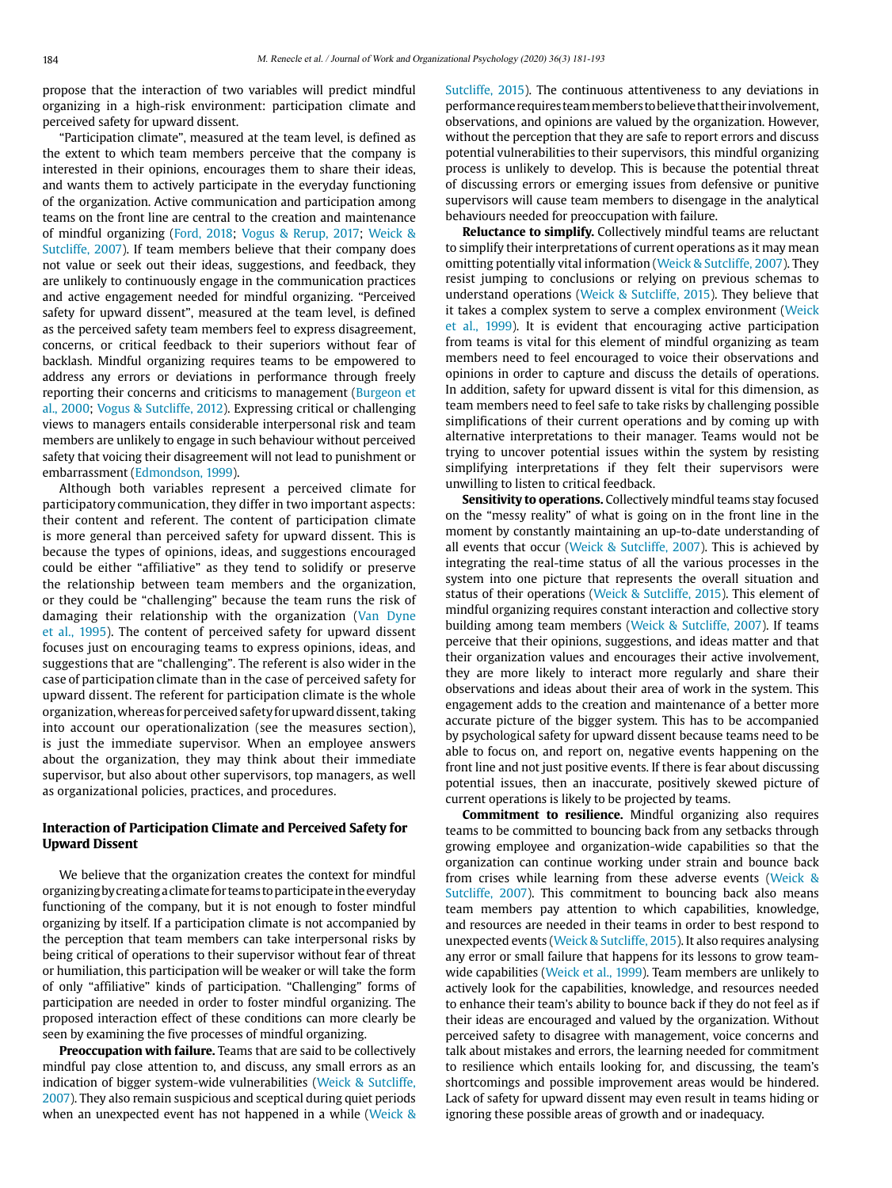propose that the interaction of two variables will predict mindful organizing in a high-risk environment: participation climate and perceived safety for upward dissent.

"Participation climate", measured at the team level, is defined as the extent to which team members perceive that the company is interested in their opinions, encourages them to share their ideas, and wants them to actively participate in the everyday functioning of the organization. Active communication and participation among teams on the front line are central to the creation and maintenance of mindful organizing [\(Ford, 2018](#page-11-7); [Vogus & Rerup, 2017](#page-11-4); [Weick &](#page-12-0)  [Sutcliffe, 2007\)](#page-12-0). If team members believe that their company does not value or seek out their ideas, suggestions, and feedback, they are unlikely to continuously engage in the communication practices and active engagement needed for mindful organizing. "Perceived safety for upward dissent", measured at the team level, is defined as the perceived safety team members feel to express disagreement, concerns, or critical feedback to their superiors without fear of backlash. Mindful organizing requires teams to be empowered to address any errors or deviations in performance through freely reporting their concerns and criticisms to management ([Burgeon et](#page-10-4)  [al., 2000;](#page-10-4) [Vogus & Sutcliffe](#page-12-2), 2012). Expressing critical or challenging views to managers entails considerable interpersonal risk and team members are unlikely to engage in such behaviour without perceived safety that voicing their disagreement will not lead to punishment or embarrassment [\(Edmondson, 1999](#page-11-24)).

Although both variables represent a perceived climate for participatory communication, they differ in two important aspects: their content and referent. The content of participation climate is more general than perceived safety for upward dissent. This is because the types of opinions, ideas, and suggestions encouraged could be either "affiliative" as they tend to solidify or preserve the relationship between team members and the organization, or they could be "challenging" because the team runs the risk of damaging their relationship with the organization [\(Van Dyne](#page-11-16)  [et al., 1995](#page-11-16)). The content of perceived safety for upward dissent focuses just on encouraging teams to express opinions, ideas, and suggestions that are "challenging". The referent is also wider in the case of participation climate than in the case of perceived safety for upward dissent. The referent for participation climate is the whole organization, whereas for perceived safety for upward dissent, taking into account our operationalization (see the measures section), is just the immediate supervisor. When an employee answers about the organization, they may think about their immediate supervisor, but also about other supervisors, top managers, as well as organizational policies, practices, and procedures.

# **Interaction of Participation Climate and Perceived Safety for Upward Dissent**

We believe that the organization creates the context for mindful organizing by creating a climate for teams to participate in the everyday functioning of the company, but it is not enough to foster mindful organizing by itself. If a participation climate is not accompanied by the perception that team members can take interpersonal risks by being critical of operations to their supervisor without fear of threat or humiliation, this participation will be weaker or will take the form of only "affiliative" kinds of participation. "Challenging" forms of participation are needed in order to foster mindful organizing. The proposed interaction effect of these conditions can more clearly be seen by examining the five processes of mindful organizing.

**Preoccupation with failure.** Teams that are said to be collectively mindful pay close attention to, and discuss, any small errors as an indication of bigger system-wide vulnerabilities ([Weick & Sutcliffe,](#page-12-0)  [2007\)](#page-12-0). They also remain suspicious and sceptical during quiet periods when an unexpected event has not happened in a while ([Weick &](#page-12-0)  [Sutcliffe, 2015](#page-12-0)). The continuous attentiveness to any deviations in performance requires team members to believe that their involvement, observations, and opinions are valued by the organization. However, without the perception that they are safe to report errors and discuss potential vulnerabilities to their supervisors, this mindful organizing process is unlikely to develop. This is because the potential threat of discussing errors or emerging issues from defensive or punitive supervisors will cause team members to disengage in the analytical behaviours needed for preoccupation with failure.

**Reluctance to simplify.** Collectively mindful teams are reluctant to simplify their interpretations of current operations as it may mean omitting potentially vital information ([Weick & Sutcliffe, 2007\)](#page-12-0). They resist jumping to conclusions or relying on previous schemas to understand operations ([Weick & Sutcliffe, 2015](#page-12-0)). They believe that it takes a complex system to serve a complex environment [\(Weick](#page-12-0) [et al., 1999](#page-12-0)). It is evident that encouraging active participation from teams is vital for this element of mindful organizing as team members need to feel encouraged to voice their observations and opinions in order to capture and discuss the details of operations. In addition, safety for upward dissent is vital for this dimension, as team members need to feel safe to take risks by challenging possible simplifications of their current operations and by coming up with alternative interpretations to their manager. Teams would not be trying to uncover potential issues within the system by resisting simplifying interpretations if they felt their supervisors were unwilling to listen to critical feedback.

**Sensitivity to operations.** Collectively mindful teams stay focused on the "messy reality" of what is going on in the front line in the moment by constantly maintaining an up-to-date understanding of all events that occur [\(Weick & Sutcliffe, 2007\)](#page-12-0). This is achieved by integrating the real-time status of all the various processes in the system into one picture that represents the overall situation and status of their operations ([Weick & Sutcliffe, 2015\)](#page-12-0). This element of mindful organizing requires constant interaction and collective story building among team members [\(Weick & Sutcliffe, 2007\)](#page-12-0). If teams perceive that their opinions, suggestions, and ideas matter and that their organization values and encourages their active involvement, they are more likely to interact more regularly and share their observations and ideas about their area of work in the system. This engagement adds to the creation and maintenance of a better more accurate picture of the bigger system. This has to be accompanied by psychological safety for upward dissent because teams need to be able to focus on, and report on, negative events happening on the front line and not just positive events. If there is fear about discussing potential issues, then an inaccurate, positively skewed picture of current operations is likely to be projected by teams.

**Commitment to resilience.** Mindful organizing also requires teams to be committed to bouncing back from any setbacks through growing employee and organization-wide capabilities so that the organization can continue working under strain and bounce back from crises while learning from these adverse events [\(Weick &](#page-12-0) [Sutcliffe, 2007](#page-12-0)). This commitment to bouncing back also means team members pay attention to which capabilities, knowledge, and resources are needed in their teams in order to best respond to unexpected events ([Weick & Sutcliffe, 2015\)](#page-12-0). It also requires analysing any error or small failure that happens for its lessons to grow team-wide capabilities ([Weick et al., 1999\)](#page-12-0). Team members are unlikely to actively look for the capabilities, knowledge, and resources needed to enhance their team's ability to bounce back if they do not feel as if their ideas are encouraged and valued by the organization. Without perceived safety to disagree with management, voice concerns and talk about mistakes and errors, the learning needed for commitment to resilience which entails looking for, and discussing, the team's shortcomings and possible improvement areas would be hindered. Lack of safety for upward dissent may even result in teams hiding or ignoring these possible areas of growth and or inadequacy.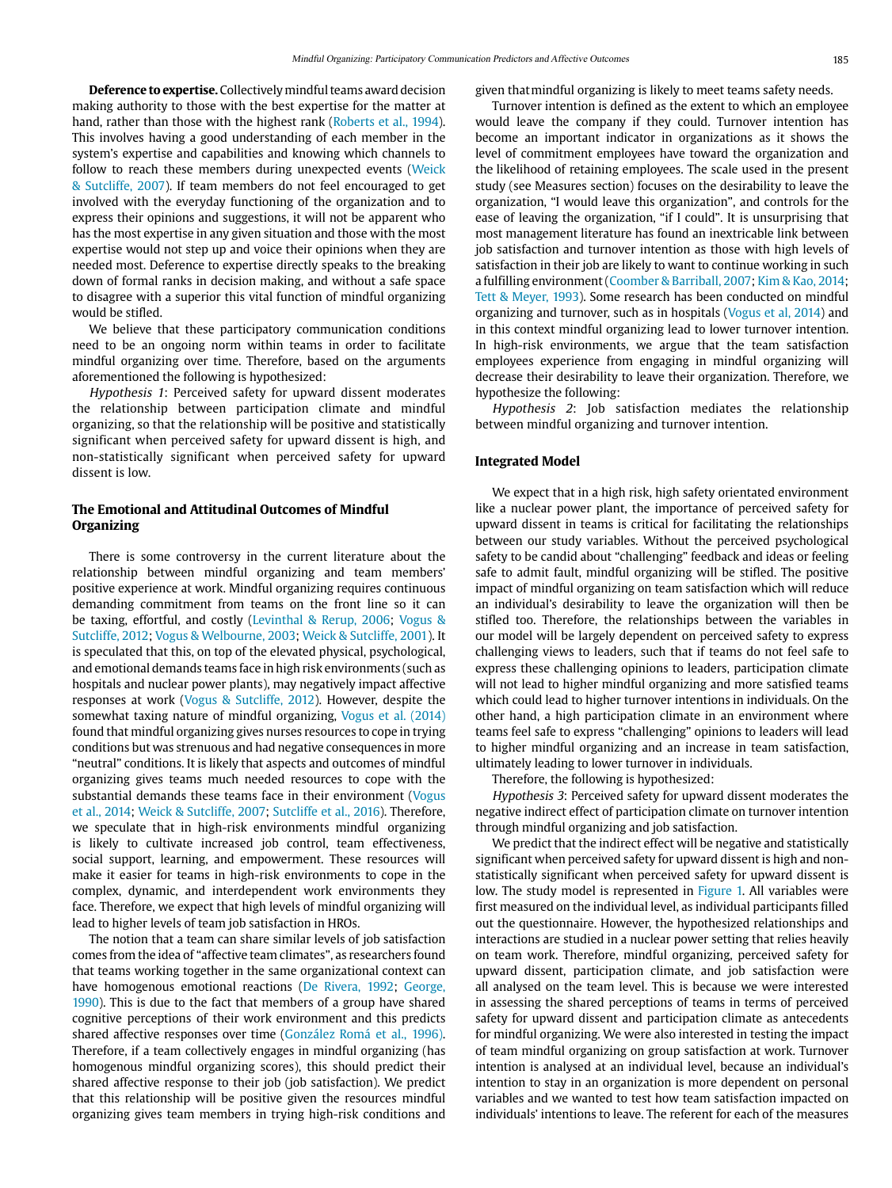**Deference to expertise.** Collectively mindful teams award decision making authority to those with the best expertise for the matter at hand, rather than those with the highest rank ([Roberts et al., 1994\)](#page-11-17). This involves having a good understanding of each member in the system's expertise and capabilities and knowing which channels to follow to reach these members during unexpected events [\(Weick](#page-12-0)  [& Sutcliffe, 2007](#page-12-0)). If team members do not feel encouraged to get involved with the everyday functioning of the organization and to express their opinions and suggestions, it will not be apparent who has the most expertise in any given situation and those with the most expertise would not step up and voice their opinions when they are needed most. Deference to expertise directly speaks to the breaking down of formal ranks in decision making, and without a safe space to disagree with a superior this vital function of mindful organizing would be stifled.

We believe that these participatory communication conditions need to be an ongoing norm within teams in order to facilitate mindful organizing over time. Therefore, based on the arguments aforementioned the following is hypothesized:

Hypothesis 1: Perceived safety for upward dissent moderates the relationship between participation climate and mindful organizing, so that the relationship will be positive and statistically significant when perceived safety for upward dissent is high, and non-statistically significant when perceived safety for upward dissent is low.

## **The Emotional and Attitudinal Outcomes of Mindful Organizing**

There is some controversy in the current literature about the relationship between mindful organizing and team members' positive experience at work. Mindful organizing requires continuous demanding commitment from teams on the front line so it can be taxing, effortful, and costly ([Levinthal & Rerup, 2006;](#page-11-10) [Vogus &](#page-11-4)  [Sutcliffe, 2012](#page-11-4); [Vogus & Welbourne, 2003](#page-11-4); [Weick & Sutcliffe, 2001\)](#page-12-0). It is speculated that this, on top of the elevated physical, psychological, and emotional demands teams face in high risk environments (such as hospitals and nuclear power plants), may negatively impact affective responses at work [\(Vogus & Sutcliffe, 2012](#page-11-4)). However, despite the somewhat taxing nature of mindful organizing, [Vogus et al. \(2014\)](#page-11-4) found that mindful organizing gives nurses resources to cope in trying conditions but was strenuous and had negative consequences in more "neutral" conditions. It is likely that aspects and outcomes of mindful organizing gives teams much needed resources to cope with the substantial demands these teams face in their environment ([Vogus](#page-11-4)  [et al., 2014](#page-11-4); [Weick & Sutcliffe, 2007](#page-12-0); [Sutcliffe et al., 2016\)](#page-11-6). Therefore, we speculate that in high-risk environments mindful organizing is likely to cultivate increased job control, team effectiveness, social support, learning, and empowerment. These resources will make it easier for teams in high-risk environments to cope in the complex, dynamic, and interdependent work environments they face. Therefore, we expect that high levels of mindful organizing will lead to higher levels of team job satisfaction in HROs.

The notion that a team can share similar levels of job satisfaction comes from the idea of "affective team climates", as researchers found that teams working together in the same organizational context can have homogenous emotional reactions [\(De Rivera, 1992](#page-10-5); [George,](#page-11-25)  [1990\)](#page-11-25). This is due to the fact that members of a group have shared cognitive perceptions of their work environment and this predicts shared affective responses over time [\(González Romá et al., 1996\).](#page-11-26) Therefore, if a team collectively engages in mindful organizing (has homogenous mindful organizing scores), this should predict their shared affective response to their job (job satisfaction). We predict that this relationship will be positive given the resources mindful organizing gives team members in trying high-risk conditions and

given that mindful organizing is likely to meet teams safety needs.

Turnover intention is defined as the extent to which an employee would leave the company if they could. Turnover intention has become an important indicator in organizations as it shows the level of commitment employees have toward the organization and the likelihood of retaining employees. The scale used in the present study (see Measures section) focuses on the desirability to leave the organization, "I would leave this organization", and controls for the ease of leaving the organization, "if I could". It is unsurprising that most management literature has found an inextricable link between job satisfaction and turnover intention as those with high levels of satisfaction in their job are likely to want to continue working in such a fulfilling environment [\(Coomber & Barriball, 2007;](#page-10-6) [Kim & Kao, 2014](#page-11-27); [Tett & Meyer, 1993\)](#page-11-28). Some research has been conducted on mindful organizing and turnover, such as in hospitals [\(Vogus et al, 2014](#page-11-4)) and in this context mindful organizing lead to lower turnover intention. In high-risk environments, we argue that the team satisfaction employees experience from engaging in mindful organizing will decrease their desirability to leave their organization. Therefore, we hypothesize the following:

Hypothesis 2: Job satisfaction mediates the relationship between mindful organizing and turnover intention.

#### **Integrated Model**

We expect that in a high risk, high safety orientated environment like a nuclear power plant, the importance of perceived safety for upward dissent in teams is critical for facilitating the relationships between our study variables. Without the perceived psychological safety to be candid about "challenging" feedback and ideas or feeling safe to admit fault, mindful organizing will be stifled. The positive impact of mindful organizing on team satisfaction which will reduce an individual's desirability to leave the organization will then be stifled too. Therefore, the relationships between the variables in our model will be largely dependent on perceived safety to express challenging views to leaders, such that if teams do not feel safe to express these challenging opinions to leaders, participation climate will not lead to higher mindful organizing and more satisfied teams which could lead to higher turnover intentions in individuals. On the other hand, a high participation climate in an environment where teams feel safe to express "challenging" opinions to leaders will lead to higher mindful organizing and an increase in team satisfaction, ultimately leading to lower turnover in individuals.

Therefore, the following is hypothesized:

Hypothesis 3: Perceived safety for upward dissent moderates the negative indirect effect of participation climate on turnover intention through mindful organizing and job satisfaction.

We predict that the indirect effect will be negative and statistically significant when perceived safety for upward dissent is high and nonstatistically significant when perceived safety for upward dissent is low. The study model is represented in [Figure 1.](#page-5-0) All variables were first measured on the individual level, as individual participants filled out the questionnaire. However, the hypothesized relationships and interactions are studied in a nuclear power setting that relies heavily on team work. Therefore, mindful organizing, perceived safety for upward dissent, participation climate, and job satisfaction were all analysed on the team level. This is because we were interested in assessing the shared perceptions of teams in terms of perceived safety for upward dissent and participation climate as antecedents for mindful organizing. We were also interested in testing the impact of team mindful organizing on group satisfaction at work. Turnover intention is analysed at an individual level, because an individual's intention to stay in an organization is more dependent on personal variables and we wanted to test how team satisfaction impacted on individuals' intentions to leave. The referent for each of the measures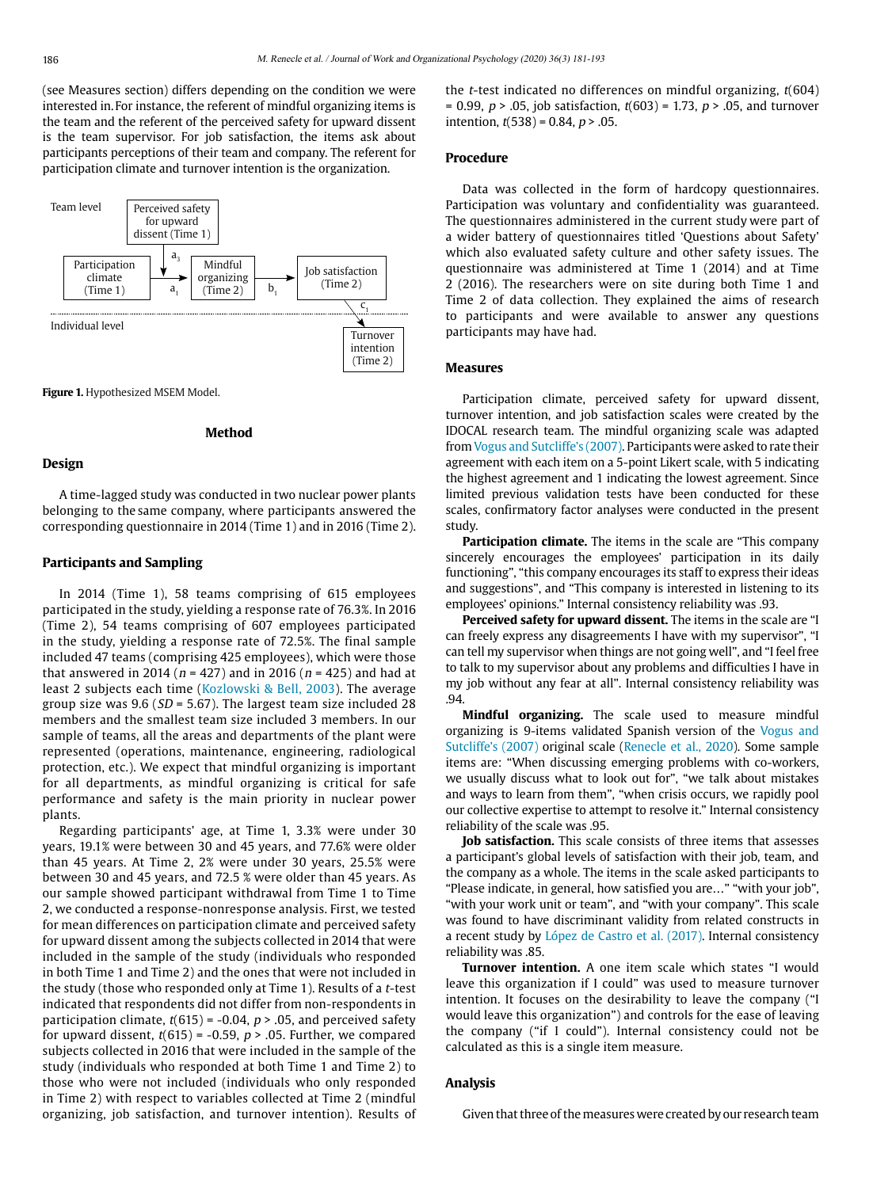(see Measures section) differs depending on the condition we were interested in. For instance, the referent of mindful organizing items is the team and the referent of the perceived safety for upward dissent is the team supervisor. For job satisfaction, the items ask about participants perceptions of their team and company. The referent for participation climate and turnover intention is the organization.



<span id="page-5-0"></span>**Figure 1. Hypothesized MSEM Model.** 

## **Method**

#### **Design**

A time-lagged study was conducted in two nuclear power plants belonging to the same company, where participants answered the corresponding questionnaire in 2014 (Time 1) and in 2016 (Time 2).

## **Participants and Sampling**

In 2014 (Time 1), 58 teams comprising of 615 employees participated in the study, yielding a response rate of 76.3%. In 2016 (Time 2), 54 teams comprising of 607 employees participated in the study, yielding a response rate of 72.5%. The final sample included 47 teams (comprising 425 employees), which were those that answered in 2014 ( $n = 427$ ) and in 2016 ( $n = 425$ ) and had at least 2 subjects each time ([Kozlowski & Bell, 2003\)](#page-11-29). The average group size was  $9.6$  ( $SD = 5.67$ ). The largest team size included 28 members and the smallest team size included 3 members. In our sample of teams, all the areas and departments of the plant were represented (operations, maintenance, engineering, radiological protection, etc.). We expect that mindful organizing is important for all departments, as mindful organizing is critical for safe performance and safety is the main priority in nuclear power plants.

Regarding participants' age, at Time 1, 3.3% were under 30 years, 19.1% were between 30 and 45 years, and 77.6% were older than 45 years. At Time 2, 2% were under 30 years, 25.5% were between 30 and 45 years, and 72.5 % were older than 45 years. As our sample showed participant withdrawal from Time 1 to Time 2, we conducted a response-nonresponse analysis. First, we tested for mean differences on participation climate and perceived safety for upward dissent among the subjects collected in 2014 that were included in the sample of the study (individuals who responded in both Time 1 and Time 2) and the ones that were not included in the study (those who responded only at Time 1). Results of a t-test indicated that respondents did not differ from non-respondents in participation climate,  $t(615) = -0.04$ ,  $p > .05$ , and perceived safety for upward dissent,  $t(615) = -0.59$ ,  $p > .05$ . Further, we compared subjects collected in 2016 that were included in the sample of the study (individuals who responded at both Time 1 and Time 2) to those who were not included (individuals who only responded in Time 2) with respect to variables collected at Time 2 (mindful organizing, job satisfaction, and turnover intention). Results of the *t*-test indicated no differences on mindful organizing,  $t(604)$ = 0.99,  $p > 0.05$ , job satisfaction,  $t(603) = 1.73$ ,  $p > 0.05$ , and turnover intention,  $t(538) = 0.84$ ,  $p > .05$ .

## **Procedure**

Data was collected in the form of hardcopy questionnaires. Participation was voluntary and confidentiality was guaranteed. The questionnaires administered in the current study were part of a wider battery of questionnaires titled 'Questions about Safety' which also evaluated safety culture and other safety issues. The questionnaire was administered at Time 1 (2014) and at Time 2 (2016). The researchers were on site during both Time 1 and Time 2 of data collection. They explained the aims of research to participants and were available to answer any questions participants may have had.

# **Measures**

Participation climate, perceived safety for upward dissent, turnover intention, and job satisfaction scales were created by the IDOCAL research team. The mindful organizing scale was adapted from Vogus and [Sutcliffe's \(2007\)](#page-11-4). Participants were asked to rate their agreement with each item on a 5-point Likert scale, with 5 indicating the highest agreement and 1 indicating the lowest agreement. Since limited previous validation tests have been conducted for these scales, confirmatory factor analyses were conducted in the present study.

**Participation climate.** The items in the scale are "This company sincerely encourages the employees' participation in its daily functioning", "this company encourages its staff to express their ideas and suggestions", and "This company is interested in listening to its employees' opinions." Internal consistency reliability was .93.

**Perceived safety for upward dissent.** The items in the scale are "I can freely express any disagreements I have with my supervisor", "I can tell my supervisor when things are not going well", and "I feel free to talk to my supervisor about any problems and difficulties I have in my job without any fear at all". Internal consistency reliability was .94.

**Mindful organizing.** The scale used to measure mindful organizing is 9-items validated Spanish version of the Vogus and [Sutcliffe's \(2007\)](#page-11-4) original scale ([Renecle et al., 2020\)](#page-11-30). Some sample items are: "When discussing emerging problems with co-workers, we usually discuss what to look out for", "we talk about mistakes and ways to learn from them", "when crisis occurs, we rapidly pool our collective expertise to attempt to resolve it." Internal consistency reliability of the scale was .95.

**Job satisfaction.** This scale consists of three items that assesses a participant's global levels of satisfaction with their job, team, and the company as a whole. The items in the scale asked participants to "Please indicate, in general, how satisfied you are…" "with your job", "with your work unit or team", and "with your company". This scale was found to have discriminant validity from related constructs in a recent study by [López de Castro et al. \(2017\).](#page-11-31) Internal consistency reliability was .85.

**Turnover intention.** A one item scale which states "I would leave this organization if I could" was used to measure turnover intention. It focuses on the desirability to leave the company ("I would leave this organization") and controls for the ease of leaving the company ("if I could"). Internal consistency could not be calculated as this is a single item measure.

#### **Analysis**

Given that three of the measures were created by our research team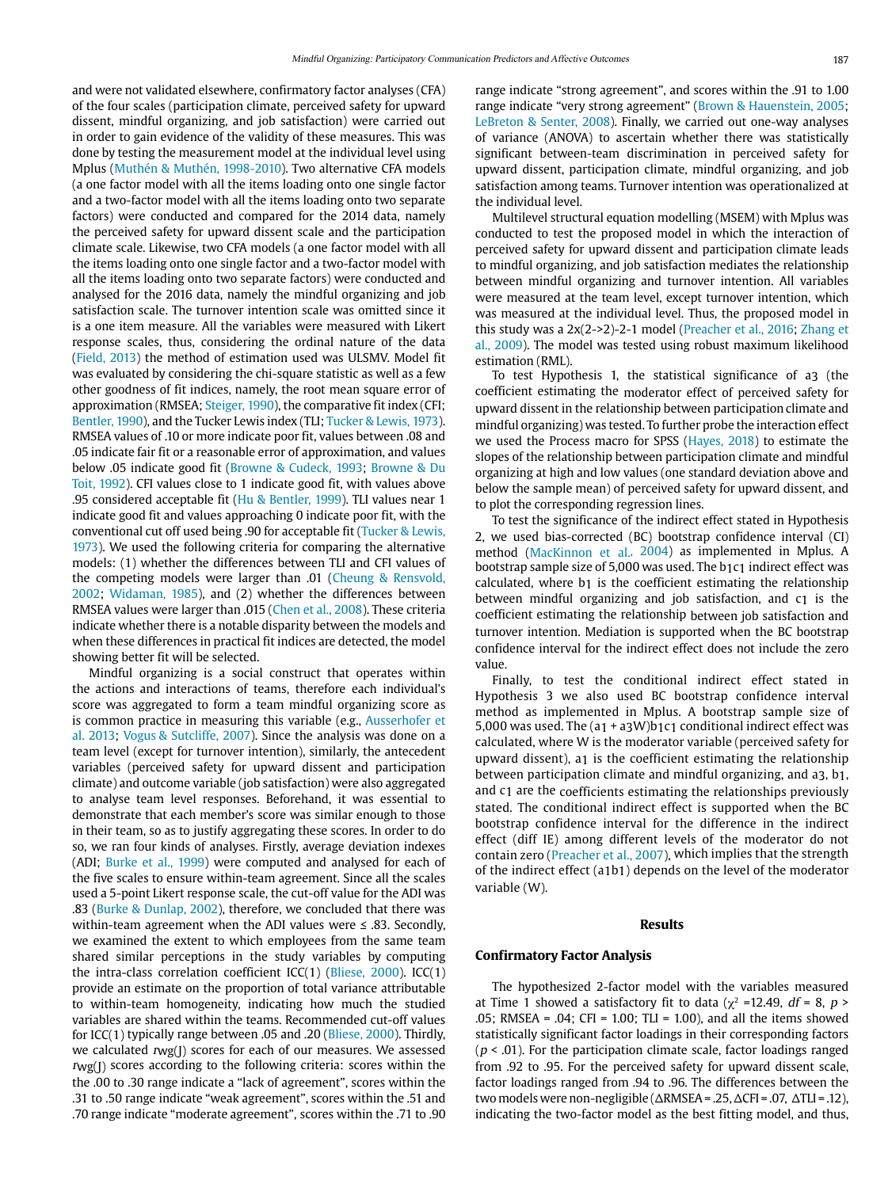and were not validated elsewhere, confirmatory factor analyses (CFA) of the four scales (participation climate, perceived safety for upward dissent, mindful organizing, and job satisfaction) were carried out in order to gain evidence of the validity of these measures. This was done by testing the measurement model at the individual level using Mplus [\(Muthén & Muthén, 1998-2010\)](#page-11-32). Two alternative CFA models (a one factor model with all the items loading onto one single factor and a two-factor model with all the items loading onto two separate factors) were conducted and compared for the 2014 data, namely the perceived safety for upward dissent scale and the participation climate scale. Likewise, two CFA models (a one factor model with all the items loading onto one single factor and a two-factor model with all the items loading onto two separate factors) were conducted and analysed for the 2016 data, namely the mindful organizing and job satisfaction scale. The turnover intention scale was omitted since it is a one item measure. All the variables were measured with Likert response scales, thus, considering the ordinal nature of the data [\(Field, 2013\)](#page-11-7) the method of estimation used was ULSMV. Model fit was evaluated by considering the chi-square statistic as well as a few other goodness of fit indices, namely, the root mean square error of approximation (RMSEA; [Steiger, 1990\)](#page-11-33), the comparative fit index (CFI; [Bentler, 1990](#page-10-7)), and the Tucker Lewis index (TLI; [Tucker & Lewis, 1973\)](#page-11-34). RMSEA values of .10 or more indicate poor fit, values between .08 and .05 indicate fair fit or a reasonable error of approximation, and values below .05 indicate good fit ([Browne & Cudeck, 1993](#page-10-8); [Browne & Du](#page-10-8)  [Toit, 1992\)](#page-10-8). CFI values close to 1 indicate good fit, with values above .95 considered acceptable fit ([Hu & Bentler, 1999](#page-11-35)). TLI values near 1 indicate good fit and values approaching 0 indicate poor fit, with the conventional cut off used being .90 for acceptable fit [\(Tucker & Lewis,](#page-11-34)  [1973\)](#page-11-34). We used the following criteria for comparing the alternative models: (1) whether the differences between TLI and CFI values of the competing models were larger than .01 [\(Cheung & Rensvold,](#page-10-9)  [2002;](#page-10-9) [Widaman, 1985](#page-12-3)), and (2) whether the differences between RMSEA values were larger than .015 [\(Chen et al., 2008\)](#page-10-9). These criteria indicate whether there is a notable disparity between the models and when these differences in practical fit indices are detected, the model showing better fit will be selected.

Mindful organizing is a social construct that operates within the actions and interactions of teams, therefore each individual's score was aggregated to form a team mindful organizing score as is common practice in measuring this variable (e.g., [Ausserhofer et](#page-10-2)  [al. 2013;](#page-10-2) [Vogus & Sutcliffe, 2007](#page-11-4)). Since the analysis was done on a team level (except for turnover intention), similarly, the antecedent variables (perceived safety for upward dissent and participation climate) and outcome variable (job satisfaction) were also aggregated to analyse team level responses. Beforehand, it was essential to demonstrate that each member's score was similar enough to those in their team, so as to justify aggregating these scores. In order to do so, we ran four kinds of analyses. Firstly, average deviation indexes (ADI; [Burke et al., 1999\)](#page-10-4) were computed and analysed for each of the five scales to ensure within-team agreement. Since all the scales used a 5-point Likert response scale, the cut-off value for the ADI was .83 [\(Burke & Dunlap, 2002\)](#page-10-4), therefore, we concluded that there was within-team agreement when the ADI values were ≤ .83. Secondly, we examined the extent to which employees from the same team shared similar perceptions in the study variables by computing the intra-class correlation coefficient ICC(1) ([Bliese, 2000\)](#page-10-10). ICC(1) provide an estimate on the proportion of total variance attributable to within-team homogeneity, indicating how much the studied variables are shared within the teams. Recommended cut-off values for ICC(1) typically range between .05 and .20 [\(Bliese, 2000](#page-10-10)). Thirdly, we calculated rwg(J) scores for each of our measures. We assessed  $r_{\text{wg}}(I)$  scores according to the following criteria: scores within the the .00 to .30 range indicate a "lack of agreement", scores within the .31 to .50 range indicate "weak agreement", scores within the .51 and .70 range indicate "moderate agreement", scores within the .71 to .90 range indicate "strong agreement", and scores within the .91 to 1.00 range indicate "very strong agreement" [\(Brown & Hauenstein, 2005](#page-10-8); [LeBreton & Senter, 2008\)](#page-11-36). Finally, we carried out one-way analyses of variance (ANOVA) to ascertain whether there was statistically significant between-team discrimination in perceived safety for upward dissent, participation climate, mindful organizing, and job satisfaction among teams. Turnover intention was operationalized at the individual level.

Multilevel structural equation modelling (MSEM) with Mplus was conducted to test the proposed model in which the interaction of perceived safety for upward dissent and participation climate leads to mindful organizing, and job satisfaction mediates the relationship between mindful organizing and turnover intention. All variables were measured at the team level, except turnover intention, which was measured at the individual level. Thus, the proposed model in this study was a 2x(2->2)-2-1 model ([Preacher et al., 2016](#page-11-37); [Zhang et](#page-12-4)  [al., 2009](#page-12-4)). The model was tested using robust maximum likelihood estimation (RML).

To test Hypothesis 1, the statistical significance of a3 (the coefficient estimating the moderator effect of perceived safety for upward dissent in the relationship between participation climate and mindful organizing) was tested. To further probe the interaction effect we used the Process macro for SPSS ([Hayes, 2018\)](#page-11-38) to estimate the slopes of the relationship between participation climate and mindful organizing at high and low values (one standard deviation above and below the sample mean) of perceived safety for upward dissent, and to plot the corresponding regression lines.

To test the significance of the indirect effect stated in Hypothesis 2, we used bias-corrected (BC) bootstrap confidence interval (CI) method ([MacKinnon et al., 2004](#page-11-39)) as implemented in Mplus. A bootstrap sample size of 5,000 was used. The b1c1 indirect effect was calculated, where b1 is the coefficient estimating the relationship between mindful organizing and job satisfaction, and c1 is the coefficient estimating the relationship between job satisfaction and turnover intention. Mediation is supported when the BC bootstrap confidence interval for the indirect effect does not include the zero value.

Finally, to test the conditional indirect effect stated in Hypothesis 3 we also used BC bootstrap confidence interval method as implemented in Mplus. A bootstrap sample size of 5,000 was used. The (a1 + a3W)b1c1 conditional indirect effect was calculated, where W is the moderator variable (perceived safety for upward dissent), a1 is the coefficient estimating the relationship between participation climate and mindful organizing, and a3, b1, and c1 are the coefficients estimating the relationships previously stated. The conditional indirect effect is supported when the BC bootstrap confidence interval for the difference in the indirect effect (diff IE) among different levels of the moderator do not contain zero [\(Preacher et al., 2007](#page-11-37)), which implies that the strength of the indirect effect (a1b1) depends on the level of the moderator variable (W).

#### **Results**

#### **Confirmatory Factor Analysis**

The hypothesized 2-factor model with the variables measured at Time 1 showed a satisfactory fit to data ( $\chi^2$  =12.49, *df* = 8, *p* > .05; RMSEA = .04; CFI = 1.00; TLI = 1.00), and all the items showed statistically significant factor loadings in their corresponding factors ( $p$  < .01). For the participation climate scale, factor loadings ranged from .92 to .95. For the perceived safety for upward dissent scale, factor loadings ranged from .94 to .96. The differences between the two models were non-negligible (ΔRMSEA = .25, ΔCFI = .07, ΔTLI = .12), indicating the two-factor model as the best fitting model, and thus,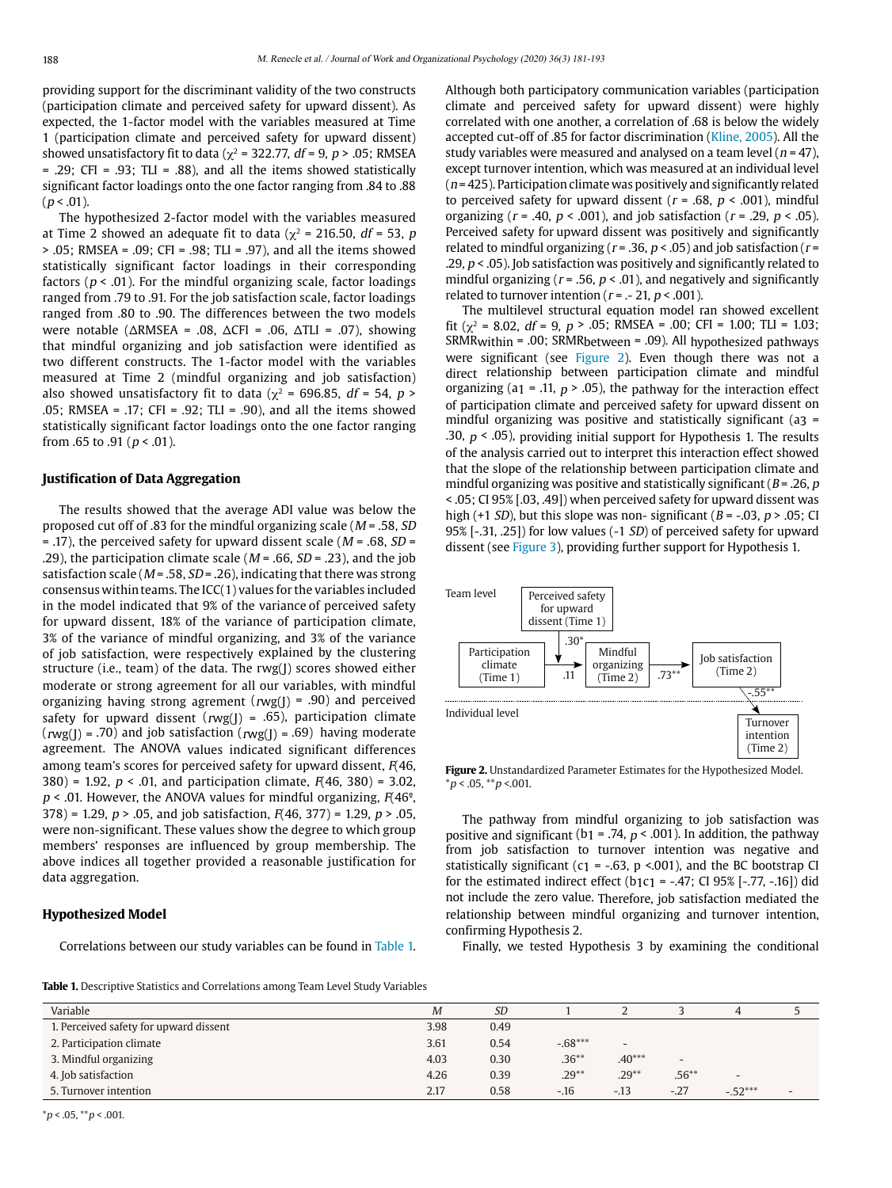providing support for the discriminant validity of the two constructs (participation climate and perceived safety for upward dissent). As expected, the 1-factor model with the variables measured at Time 1 (participation climate and perceived safety for upward dissent) showed unsatisfactory fit to data ( $\gamma^2$  = 322.77, df = 9, p > .05; RMSEA  $= .29$ ; CFI = .93; TLI = .88), and all the items showed statistically significant factor loadings onto the one factor ranging from .84 to .88  $(p < .01)$ .

The hypothesized 2-factor model with the variables measured at Time 2 showed an adequate fit to data ( $\gamma^2$  = 216.50, df = 53, p > .05; RMSEA = .09; CFI = .98; TLI = .97), and all the items showed statistically significant factor loadings in their corresponding factors ( $p < .01$ ). For the mindful organizing scale, factor loadings ranged from .79 to .91. For the job satisfaction scale, factor loadings ranged from .80 to .90. The differences between the two models were notable ( $ΔRMSEA = .08$ ,  $ΔCFI = .06$ ,  $ΔTLI = .07$ ), showing that mindful organizing and job satisfaction were identified as two different constructs. The 1-factor model with the variables measured at Time 2 (mindful organizing and job satisfaction) also showed unsatisfactory fit to data ( $\chi^2$  = 696.85, *df* = 54, *p* > .05; RMSEA = .17; CFI = .92; TLI = .90), and all the items showed statistically significant factor loadings onto the one factor ranging from .65 to .91 ( $p < .01$ ).

#### **Justification of Data Aggregation**

The results showed that the average ADI value was below the proposed cut off of .83 for the mindful organizing scale ( $M = .58$ , SD  $=$  .17), the perceived safety for upward dissent scale ( $M = .68$ , SD = .29), the participation climate scale ( $M = .66$ ,  $SD = .23$ ), and the job satisfaction scale ( $M = .58$ ,  $SD = .26$ ), indicating that there was strong consensus within teams. The ICC(1) values for the variables included in the model indicated that 9% of the variance of perceived safety for upward dissent, 18% of the variance of participation climate, 3% of the variance of mindful organizing, and 3% of the variance of job satisfaction, were respectively explained by the clustering structure (i.e., team) of the data. The rwg(J) scores showed either moderate or strong agreement for all our variables, with mindful organizing having strong agrement ( $rwg($ ] = .90) and perceived safety for upward dissent ( $rwg($ ] = .65), participation climate  $(rwg(J) = .70)$  and job satisfaction  $(rwg(J) = .69)$  having moderate agreement. The ANOVA values indicated significant differences among team's scores for perceived safety for upward dissent,  $F(46, 46)$ 380) = 1.92,  $p < .01$ , and participation climate,  $F(46, 380) = 3.02$ ,  $p < .01$ . However, the ANOVA values for mindful organizing,  $F(46^\circ, )$ 378) = 1.29,  $p > .05$ , and job satisfaction,  $F(46, 377) = 1.29$ ,  $p > .05$ , were non-significant. These values show the degree to which group members' responses are influenced by group membership. The above indices all together provided a reasonable justification for data aggregation.

#### **Hypothesized Model**

Correlations between our study variables can be found in [Table 1.](#page-7-0)

Although both participatory communication variables (participation climate and perceived safety for upward dissent) were highly correlated with one another, a correlation of .68 is below the widely accepted cut-off of .85 for factor discrimination ([Kline, 2005](#page-11-40)). All the study variables were measured and analysed on a team level ( $n = 47$ ), except turnover intention, which was measured at an individual level  $(n = 425)$ . Participation climate was positively and significantly related to perceived safety for upward dissent ( $r = .68$ ,  $p < .001$ ), mindful organizing ( $r = .40$ ,  $p < .001$ ), and job satisfaction ( $r = .29$ ,  $p < .05$ ). Perceived safety for upward dissent was positively and significantly related to mindful organizing ( $r = .36$ ,  $p < .05$ ) and job satisfaction ( $r =$ .29,  $p < 0.05$ ). Job satisfaction was positively and significantly related to mindful organizing ( $r = .56$ ,  $p < .01$ ), and negatively and significantly related to turnover intention ( $r = -21$ ,  $p < .001$ ).

The multilevel structural equation model ran showed excellent fit ( $\chi^2$  = 8.02, df = 9, p > .05; RMSEA = .00; CFI = 1.00; TLI = 1.03; SRMRwithin = .00; SRMRbetween = .09). All hypothesized pathways were significant (see [Figure 2](#page-7-1)). Even though there was not a direct relationship between participation climate and mindful organizing (a<sub>1</sub> = .11,  $p$  > .05), the pathway for the interaction effect of participation climate and perceived safety for upward dissent on mindful organizing was positive and statistically significant (a3 = .30,  $p < .05$ ), providing initial support for Hypothesis 1. The results of the analysis carried out to interpret this interaction effect showed that the slope of the relationship between participation climate and mindful organizing was positive and statistically significant ( $B = .26$ ,  $p$ ) < .05; CI 95% [.03, .49]) when perceived safety for upward dissent was high (+1 SD), but this slope was non- significant ( $B = -0.03$ ,  $p > 0.05$ ; CI 95% [-.31, .25]) for low values (-1 SD) of perceived safety for upward dissent (see [Figure 3\)](#page-8-0), providing further support for Hypothesis 1.



<span id="page-7-1"></span>**Figure 2.** Unstandardized Parameter Estimates for the Hypothesized Model.  $*p < .05, **p < .001.$ 

The pathway from mindful organizing to job satisfaction was positive and significant (b<sub>1</sub> = .74,  $p$  < .001). In addition, the pathway from job satisfaction to turnover intention was negative and statistically significant (c1 = -.63,  $p$  <.001), and the BC bootstrap CI for the estimated indirect effect (b1c1 = -.47; CI 95% [-.77, -.16]) did not include the zero value. Therefore, job satisfaction mediated the relationship between mindful organizing and turnover intention, confirming Hypothesis 2.

Finally, we tested Hypothesis 3 by examining the conditional

<span id="page-7-0"></span>**Table 1.** Descriptive Statistics and Correlations among Team Level Study Variables

| Variable                               | M    | <i>SD</i> |           |                          |                          |                          |                          |
|----------------------------------------|------|-----------|-----------|--------------------------|--------------------------|--------------------------|--------------------------|
| 1. Perceived safety for upward dissent | 3.98 | 0.49      |           |                          |                          |                          |                          |
| 2. Participation climate               | 3.61 | 0.54      | $-.68***$ | $\overline{\phantom{a}}$ |                          |                          |                          |
| 3. Mindful organizing                  | 4.03 | 0.30      | $.36***$  | $.40***$                 | $\overline{\phantom{a}}$ |                          |                          |
| 4. Job satisfaction                    | 4.26 | 0.39      | $.29**$   | $.29**$                  | $.56***$                 | $\overline{\phantom{a}}$ |                          |
| 5. Turnover intention                  | 2.17 | 0.58      | $-.16$    | $-13$                    | $-27$                    | $-.52***$                | $\overline{\phantom{0}}$ |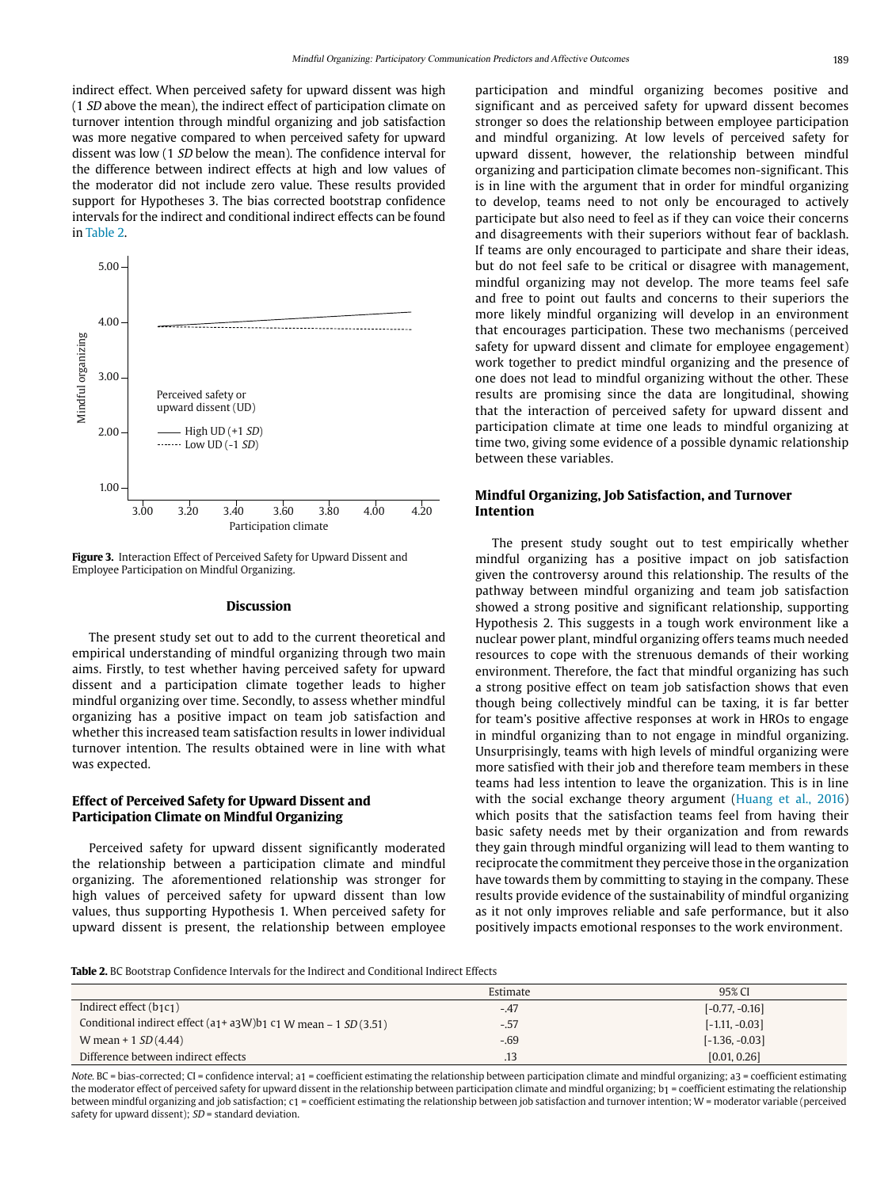indirect effect. When perceived safety for upward dissent was high (1 SD above the mean), the indirect effect of participation climate on turnover intention through mindful organizing and job satisfaction was more negative compared to when perceived safety for upward dissent was low (1 SD below the mean). The confidence interval for the difference between indirect effects at high and low values of the moderator did not include zero value. These results provided support for Hypotheses 3. The bias corrected bootstrap confidence intervals for the indirect and conditional indirect effects can be found in [Table 2](#page-8-1).



<span id="page-8-0"></span>**Figure 3.** Interaction Effect of Perceived Safety for Upward Dissent and Employee Participation on Mindful Organizing.

#### **Discussion**

The present study set out to add to the current theoretical and empirical understanding of mindful organizing through two main aims. Firstly, to test whether having perceived safety for upward dissent and a participation climate together leads to higher mindful organizing over time. Secondly, to assess whether mindful organizing has a positive impact on team job satisfaction and whether this increased team satisfaction results in lower individual turnover intention. The results obtained were in line with what was expected.

# **Effect of Perceived Safety for Upward Dissent and Participation Climate on Mindful Organizing**

Perceived safety for upward dissent significantly moderated the relationship between a participation climate and mindful organizing. The aforementioned relationship was stronger for high values of perceived safety for upward dissent than low values, thus supporting Hypothesis 1. When perceived safety for upward dissent is present, the relationship between employee participation and mindful organizing becomes positive and significant and as perceived safety for upward dissent becomes stronger so does the relationship between employee participation and mindful organizing. At low levels of perceived safety for upward dissent, however, the relationship between mindful organizing and participation climate becomes non-significant. This is in line with the argument that in order for mindful organizing to develop, teams need to not only be encouraged to actively participate but also need to feel as if they can voice their concerns and disagreements with their superiors without fear of backlash. If teams are only encouraged to participate and share their ideas, but do not feel safe to be critical or disagree with management, mindful organizing may not develop. The more teams feel safe and free to point out faults and concerns to their superiors the more likely mindful organizing will develop in an environment that encourages participation. These two mechanisms (perceived safety for upward dissent and climate for employee engagement) work together to predict mindful organizing and the presence of one does not lead to mindful organizing without the other. These results are promising since the data are longitudinal, showing that the interaction of perceived safety for upward dissent and participation climate at time one leads to mindful organizing at time two, giving some evidence of a possible dynamic relationship between these variables.

# **Mindful Organizing, Job Satisfaction, and Turnover Intention**

The present study sought out to test empirically whether mindful organizing has a positive impact on job satisfaction given the controversy around this relationship. The results of the pathway between mindful organizing and team job satisfaction showed a strong positive and significant relationship, supporting Hypothesis 2. This suggests in a tough work environment like a nuclear power plant, mindful organizing offers teams much needed resources to cope with the strenuous demands of their working environment. Therefore, the fact that mindful organizing has such a strong positive effect on team job satisfaction shows that even though being collectively mindful can be taxing, it is far better for team's positive affective responses at work in HROs to engage in mindful organizing than to not engage in mindful organizing. Unsurprisingly, teams with high levels of mindful organizing were more satisfied with their job and therefore team members in these teams had less intention to leave the organization. This is in line with the social exchange theory argument ([Huang et al., 2016\)](#page-11-41) which posits that the satisfaction teams feel from having their basic safety needs met by their organization and from rewards they gain through mindful organizing will lead to them wanting to reciprocate the commitment they perceive those in the organization have towards them by committing to staying in the company. These results provide evidence of the sustainability of mindful organizing as it not only improves reliable and safe performance, but it also positively impacts emotional responses to the work environment.

<span id="page-8-1"></span>**Table 2.** BC Bootstrap Confidence Intervals for the Indirect and Conditional Indirect Effects

|                                                                        | Estimate | 95% CI           |
|------------------------------------------------------------------------|----------|------------------|
| Indirect effect (b1c1)                                                 | $-.47$   | $[-0.77, -0.16]$ |
| Conditional indirect effect $(a_1 + a_3W)b_1 c_1 W$ mean - 1 SD (3.51) | $-.57$   | $[-1.11, -0.03]$ |
| W mean + $1 SD(4.44)$                                                  | $-.69$   | $[-1.36, -0.03]$ |
| Difference between indirect effects                                    | .13      | [0.01, 0.26]     |

Note. BC = bias-corrected; CI = confidence interval; a1 = coefficient estimating the relationship between participation climate and mindful organizing; a3 = coefficient estimating the moderator effect of perceived safety for upward dissent in the relationship between participation climate and mindful organizing; b1 = coefficient estimating the relationship between mindful organizing and job satisfaction; c1 = coefficient estimating the relationship between job satisfaction and turnover intention; W = moderator variable (perceived safety for upward dissent);  $SD =$  standard deviation.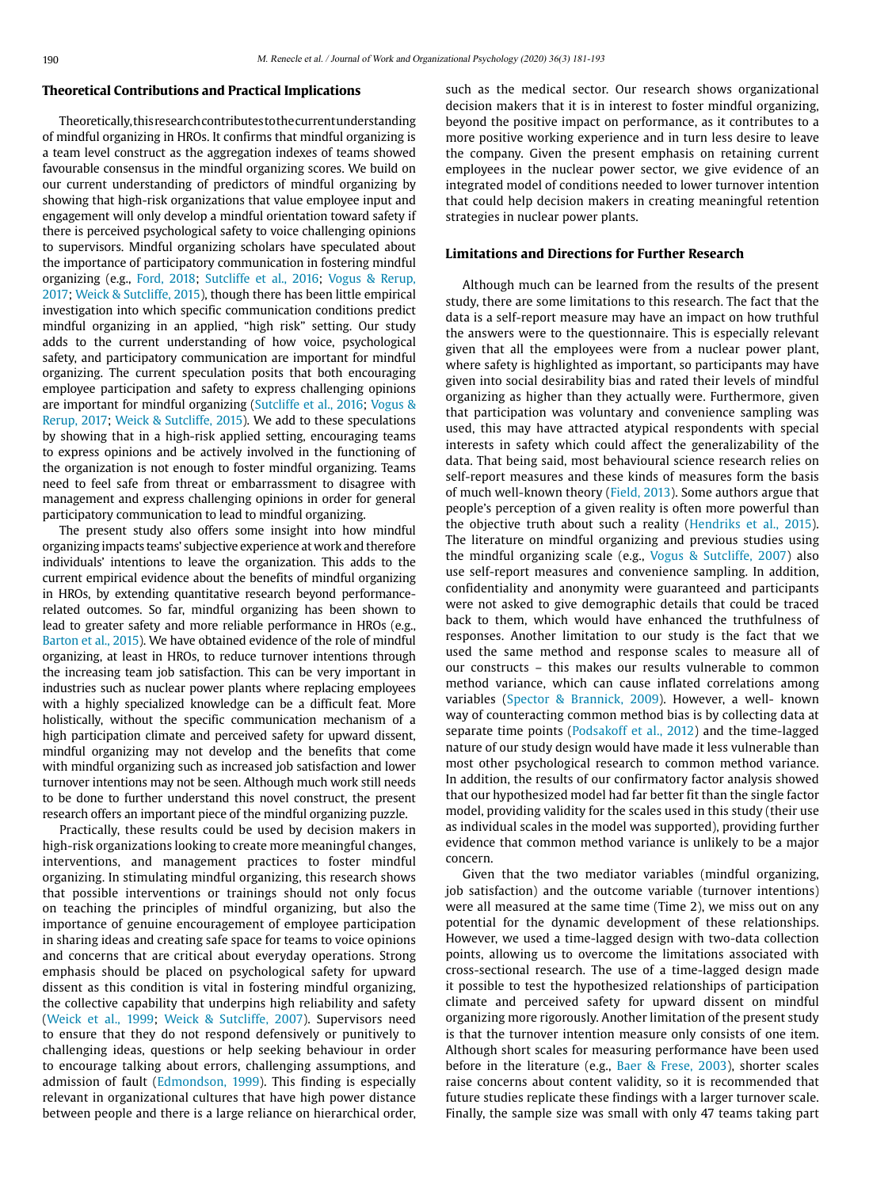#### **Theoretical Contributions and Practical Implications**

Theoretically, this research contributes to the current understanding of mindful organizing in HROs. It confirms that mindful organizing is a team level construct as the aggregation indexes of teams showed favourable consensus in the mindful organizing scores. We build on our current understanding of predictors of mindful organizing by showing that high-risk organizations that value employee input and engagement will only develop a mindful orientation toward safety if there is perceived psychological safety to voice challenging opinions to supervisors. Mindful organizing scholars have speculated about the importance of participatory communication in fostering mindful organizing (e.g., [Ford, 2018;](#page-11-7) [Sutcliffe et al., 2016;](#page-11-6) [Vogus & Rerup,](#page-11-4)  [2017;](#page-11-4) [Weick & Sutcliffe, 2015\)](#page-12-0), though there has been little empirical investigation into which specific communication conditions predict mindful organizing in an applied, "high risk" setting. Our study adds to the current understanding of how voice, psychological safety, and participatory communication are important for mindful organizing. The current speculation posits that both encouraging employee participation and safety to express challenging opinions are important for mindful organizing [\(Sutcliffe et al., 2016](#page-11-6); [Vogus &](#page-11-4)  [Rerup, 2017;](#page-11-4) [Weick & Sutcliffe, 2015](#page-12-0)). We add to these speculations by showing that in a high-risk applied setting, encouraging teams to express opinions and be actively involved in the functioning of the organization is not enough to foster mindful organizing. Teams need to feel safe from threat or embarrassment to disagree with management and express challenging opinions in order for general participatory communication to lead to mindful organizing.

The present study also offers some insight into how mindful organizing impacts teams' subjective experience at work and therefore individuals' intentions to leave the organization. This adds to the current empirical evidence about the benefits of mindful organizing in HROs, by extending quantitative research beyond performancerelated outcomes. So far, mindful organizing has been shown to lead to greater safety and more reliable performance in HROs (e.g., [Barton et al., 2015\)](#page-10-0). We have obtained evidence of the role of mindful organizing, at least in HROs, to reduce turnover intentions through the increasing team job satisfaction. This can be very important in industries such as nuclear power plants where replacing employees with a highly specialized knowledge can be a difficult feat. More holistically, without the specific communication mechanism of a high participation climate and perceived safety for upward dissent, mindful organizing may not develop and the benefits that come with mindful organizing such as increased job satisfaction and lower turnover intentions may not be seen. Although much work still needs to be done to further understand this novel construct, the present research offers an important piece of the mindful organizing puzzle.

Practically, these results could be used by decision makers in high-risk organizations looking to create more meaningful changes, interventions, and management practices to foster mindful organizing. In stimulating mindful organizing, this research shows that possible interventions or trainings should not only focus on teaching the principles of mindful organizing, but also the importance of genuine encouragement of employee participation in sharing ideas and creating safe space for teams to voice opinions and concerns that are critical about everyday operations. Strong emphasis should be placed on psychological safety for upward dissent as this condition is vital in fostering mindful organizing, the collective capability that underpins high reliability and safety [\(Weick et al., 1999;](#page-12-0) [Weick & Sutcliffe, 2007\)](#page-12-0). Supervisors need to ensure that they do not respond defensively or punitively to challenging ideas, questions or help seeking behaviour in order to encourage talking about errors, challenging assumptions, and admission of fault ([Edmondson, 1999](#page-11-24)). This finding is especially relevant in organizational cultures that have high power distance between people and there is a large reliance on hierarchical order, such as the medical sector. Our research shows organizational decision makers that it is in interest to foster mindful organizing, beyond the positive impact on performance, as it contributes to a more positive working experience and in turn less desire to leave the company. Given the present emphasis on retaining current employees in the nuclear power sector, we give evidence of an integrated model of conditions needed to lower turnover intention that could help decision makers in creating meaningful retention strategies in nuclear power plants.

# **Limitations and Directions for Further Research**

Although much can be learned from the results of the present study, there are some limitations to this research. The fact that the data is a self-report measure may have an impact on how truthful the answers were to the questionnaire. This is especially relevant given that all the employees were from a nuclear power plant, where safety is highlighted as important, so participants may have given into social desirability bias and rated their levels of mindful organizing as higher than they actually were. Furthermore, given that participation was voluntary and convenience sampling was used, this may have attracted atypical respondents with special interests in safety which could affect the generalizability of the data. That being said, most behavioural science research relies on self-report measures and these kinds of measures form the basis of much well-known theory ([Field, 2013](#page-11-7)). Some authors argue that people's perception of a given reality is often more powerful than the objective truth about such a reality [\(Hendriks et al., 2015](#page-11-42)). The literature on mindful organizing and previous studies using the mindful organizing scale (e.g., [Vogus & Sutcliffe, 2007](#page-11-4)) also use self-report measures and convenience sampling. In addition, confidentiality and anonymity were guaranteed and participants were not asked to give demographic details that could be traced back to them, which would have enhanced the truthfulness of responses. Another limitation to our study is the fact that we used the same method and response scales to measure all of our constructs – this makes our results vulnerable to common method variance, which can cause inflated correlations among variables ([Spector & Brannick, 2009](#page-11-43)). However, a well- known way of counteracting common method bias is by collecting data at separate time points [\(Podsakoff et al., 2012\)](#page-11-44) and the time-lagged nature of our study design would have made it less vulnerable than most other psychological research to common method variance. In addition, the results of our confirmatory factor analysis showed that our hypothesized model had far better fit than the single factor model, providing validity for the scales used in this study (their use as individual scales in the model was supported), providing further evidence that common method variance is unlikely to be a major concern.

Given that the two mediator variables (mindful organizing, job satisfaction) and the outcome variable (turnover intentions) were all measured at the same time (Time 2), we miss out on any potential for the dynamic development of these relationships. However, we used a time-lagged design with two-data collection points, allowing us to overcome the limitations associated with cross-sectional research. The use of a time-lagged design made it possible to test the hypothesized relationships of participation climate and perceived safety for upward dissent on mindful organizing more rigorously. Another limitation of the present study is that the turnover intention measure only consists of one item. Although short scales for measuring performance have been used before in the literature (e.g., [Baer & Frese, 2003\)](#page-10-11), shorter scales raise concerns about content validity, so it is recommended that future studies replicate these findings with a larger turnover scale. Finally, the sample size was small with only 47 teams taking part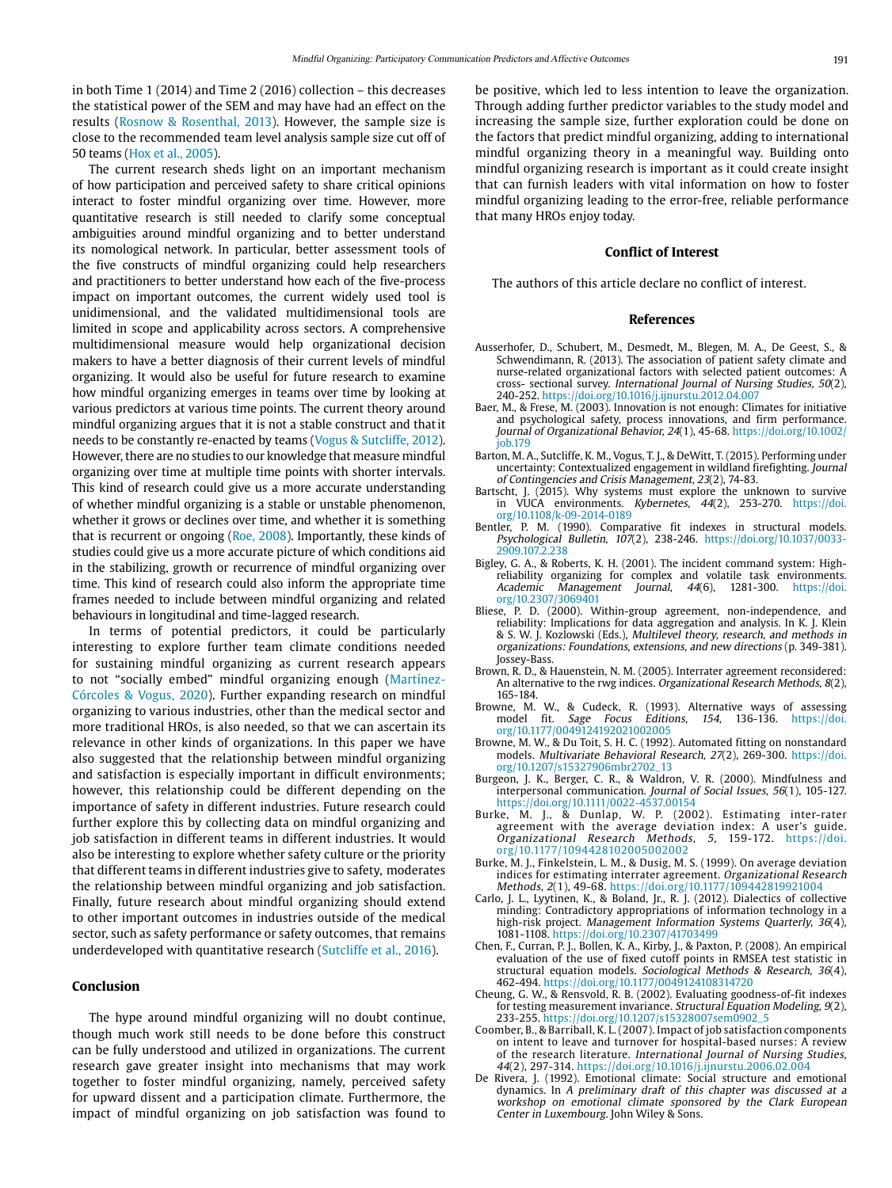in both Time 1 (2014) and Time 2 (2016) collection – this decreases the statistical power of the SEM and may have had an effect on the results ([Rosnow & Rosenthal, 2013\)](#page-11-45). However, the sample size is close to the recommended team level analysis sample size cut off of 50 teams [\(Hox et al., 2005](#page-11-46)).

The current research sheds light on an important mechanism of how participation and perceived safety to share critical opinions interact to foster mindful organizing over time. However, more quantitative research is still needed to clarify some conceptual ambiguities around mindful organizing and to better understand its nomological network. In particular, better assessment tools of the five constructs of mindful organizing could help researchers and practitioners to better understand how each of the five-process impact on important outcomes, the current widely used tool is unidimensional, and the validated multidimensional tools are limited in scope and applicability across sectors. A comprehensive multidimensional measure would help organizational decision makers to have a better diagnosis of their current levels of mindful organizing. It would also be useful for future research to examine how mindful organizing emerges in teams over time by looking at various predictors at various time points. The current theory around mindful organizing argues that it is not a stable construct and that it needs to be constantly re-enacted by teams [\(Vogus & Sutcliffe, 2012\)](#page-11-4). However, there are no studies to our knowledge that measure mindful organizing over time at multiple time points with shorter intervals. This kind of research could give us a more accurate understanding of whether mindful organizing is a stable or unstable phenomenon, whether it grows or declines over time, and whether it is something that is recurrent or ongoing [\(Roe, 2008](#page-11-47)). Importantly, these kinds of studies could give us a more accurate picture of which conditions aid in the stabilizing, growth or recurrence of mindful organizing over time. This kind of research could also inform the appropriate time frames needed to include between mindful organizing and related behaviours in longitudinal and time-lagged research.

In terms of potential predictors, it could be particularly interesting to explore further team climate conditions needed for sustaining mindful organizing as current research appears to not "socially embed" mindful organizing enough (Martínez-Córcoles & Vogus, 2020). Further expanding research on mindful organizing to various industries, other than the medical sector and more traditional HROs, is also needed, so that we can ascertain its relevance in other kinds of organizations. In this paper we have also suggested that the relationship between mindful organizing and satisfaction is especially important in difficult environments; however, this relationship could be different depending on the importance of safety in different industries. Future research could further explore this by collecting data on mindful organizing and job satisfaction in different teams in different industries. It would also be interesting to explore whether safety culture or the priority that different teams in different industries give to safety, moderates the relationship between mindful organizing and job satisfaction. Finally, future research about mindful organizing should extend to other important outcomes in industries outside of the medical sector, such as safety performance or safety outcomes, that remains underdeveloped with quantitative research [\(Sutcliffe et al., 2016](#page-11-6)).

## **Conclusion**

The hype around mindful organizing will no doubt continue, though much work still needs to be done before this construct can be fully understood and utilized in organizations. The current research gave greater insight into mechanisms that may work together to foster mindful organizing, namely, perceived safety for upward dissent and a participation climate. Furthermore, the impact of mindful organizing on job satisfaction was found to

be positive, which led to less intention to leave the organization. Through adding further predictor variables to the study model and increasing the sample size, further exploration could be done on the factors that predict mindful organizing, adding to international mindful organizing theory in a meaningful way. Building onto mindful organizing research is important as it could create insight that can furnish leaders with vital information on how to foster mindful organizing leading to the error-free, reliable performance that many HROs enjoy today.

#### **Conflict of Interest**

The authors of this article declare no conflict of interest.

#### **References**

- <span id="page-10-2"></span>Ausserhofer, D., Schubert, M., Desmedt, M., Blegen, M. A., De Geest, S., & Schwendimann, R. (2013). The association of patient safety climate and nurse-related organizational factors with selected patient outcomes: A cross- sectional survey. International Journal of Nursing Studies, 50(2), 240-252. https://doi.org/10.1016/j.ijnurstu.2012.04.007
- <span id="page-10-11"></span>Baer, M., & Frese, M. (2003). Innovation is not enough: Climates for initiative and psychological safety, process innovations, and firm performance. Journal of Organizational Behavior, 24(1), 45-68. [https://doi.org/10.1002/](https://doi.org/10.1002/job.179) [job.179](https://doi.org/10.1002/job.179)
- <span id="page-10-0"></span>Barton, M. A., Sutcliffe, K. M., Vogus, T. J., & DeWitt, T. (2015). Performing under uncertainty: Contextualized engagement in wildland firefighting. Journal of Contingencies and Crisis Management, 23(2), 74-83.
- Bartscht, J. (2015). Why systems must explore the unknown to survive in VUCA environments. Kybernetes,  $44(2)$ , 253-270. [https://doi.](https://doi.org/10.1108/k-09-2014-0189) [org/10.1108/k-09-2014-0189](https://doi.org/10.1108/k-09-2014-0189)
- <span id="page-10-7"></span>Bentler, P. M. (1990). Comparative fit indexes in structural models. Psychological Bulletin, 107(2), 238-246. https://doi.org/10.1037/0033- 2909.107.2.238
- <span id="page-10-1"></span>Bigley, G. A., & Roberts, K. H. (2001). The incident command system: Highreliability organizing for complex and volatile task environments.<br>Academic Management Journal, 44(6), 1281-300. https://doi. Management Journal,  $44(6)$ , 1281-300. [https://doi.](https://doi.org/10.2307/3069401) [org/10.2307/3069401](https://doi.org/10.2307/3069401)
- <span id="page-10-10"></span>Bliese, P. D. (2000). Within-group agreement, non-independence, and reliability: Implications for data aggregation and analysis. In K. J. Klein & S. W. J. Kozlowski (Eds.), Multilevel theory, research, and methods in organizations: Foundations, extensions, and new directions (p. 349-381). Jossey-Bass.
- <span id="page-10-8"></span>Brown, R. D., & Hauenstein, N. M. (2005). Interrater agreement reconsidered: An alternative to the rwg indices. Organizational Research Methods, 8(2), 165-184.
- Browne, M. W., & Cudeck, R. (1993). Alternative ways of assessing model fit. Sage Focus Editions, 154, 136-136. [https://doi.](https://doi.org/10.1177/0049124192021002005) [org/10.1177/0049124192021002005](https://doi.org/10.1177/0049124192021002005)
- Browne, M. W., & Du Toit, S. H. C. (1992). Automated fitting on nonstandard models. Multivariate Behavioral Research, 27(2), 269-300. [https://doi.](https://doi.org/10.1207/s15327906mbr2702_13) [org/10.1207/s15327906mbr2702\\_13](https://doi.org/10.1207/s15327906mbr2702_13)
- <span id="page-10-4"></span>Burgeon, J. K., Berger, C. R., & Waldron, V. R. (2000). Mindfulness and interpersonal communication. Journal of Social Issues, 56(1), 105-127. https://doi.org/10.1111/0022-4537.00154
- Burke, M. J., & Dunlap, W. P. (2002). Estimating inter-rater agreement with the average deviation index: A user's guide. Organizational Research Methods, 5, 159-172. https://doi. org/10.1177/1094428102005002002
- Burke, M. J., Finkelstein, L. M., & Dusig, M. S. (1999). On average deviation indices for estimating interrater agreement. Organizational Research Methods, 2(1), 49-68. https://doi.org/10.1177/109442819921004
- <span id="page-10-3"></span>Carlo, J. L., Lyytinen, K., & Boland, Jr., R. J. (2012). Dialectics of collective minding: Contradictory appropriations of information technology in a high-risk project. Management Information Systems Quarterly, 36(4), 1081-1108. https://doi.org/10.2307/41703499
- <span id="page-10-9"></span>Chen, F., Curran, P. J., Bollen, K. A., Kirby, J., & Paxton, P. (2008). An empirical evaluation of the use of fixed cutoff points in RMSEA test statistic in structural equation models. Sociological Methods & Research, 36(4), 462-494. https://doi.org/10.1177/0049124108314720
- Cheung, G. W., & Rensvold, R. B. (2002). Evaluating goodness-of-fit indexes for testing measurement invariance. Structural Equation Modeling, 9(2), 233-255. https://doi.org/10.1207/s15328007sem0902\_5
- <span id="page-10-6"></span>Coomber, B., & Barriball, K. L. (2007). Impact of job satisfaction components on intent to leave and turnover for hospital-based nurses: A review of the research literature. International Journal of Nursing Studies, 44(2), 297-314. https://doi.org/10.1016/j.ijnurstu.2006.02.004
- <span id="page-10-5"></span>De Rivera, J. (1992). Emotional climate: Social structure and emotional dynamics. In A preliminary draft of this chapter was discussed at a workshop on emotional climate sponsored by the Clark European Center in Luxembourg. John Wiley & Sons.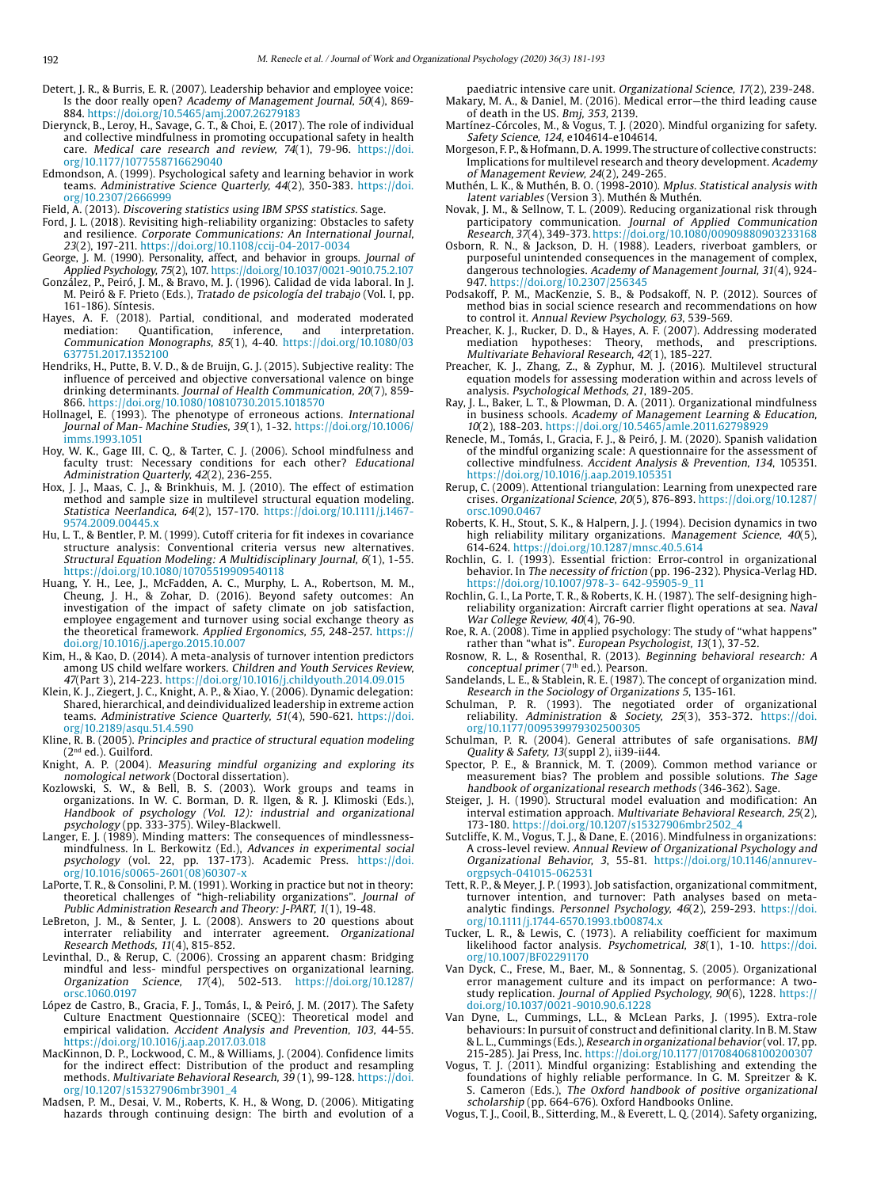- <span id="page-11-23"></span>Detert, J. R., & Burris, E. R. (2007). Leadership behavior and employee voice: Is the door really open? Academy of Management Journal, 50(4), 869- 884. https://doi.org/10.5465/amj.2007.26279183
- <span id="page-11-8"></span>Dierynck, B., Leroy, H., Savage, G. T., & Choi, E. (2017). The role of individual and collective mindfulness in promoting occupational safety in health care. Medical care research and review, 74(1), 79-96. [https://doi.](https://doi.org/10.1177/1077558716629040) [org/10.1177/1077558716629040](https://doi.org/10.1177/1077558716629040)
- <span id="page-11-24"></span>Edmondson, A. (1999). Psychological safety and learning behavior in work teams. Administrative Science Quarterly, 44(2), 350-383. [https://doi.](https://doi.org/10.2307/2666999) [org/10.2307/2666999](https://doi.org/10.2307/2666999)
- <span id="page-11-7"></span>Field, A. (2013). Discovering statistics using IBM SPSS statistics. Sage.
- Ford, J. L. (2018). Revisiting high-reliability organizing: Obstacles to safety and resilience. Corporate Communications: An International Journal, 23(2), 197-211. https://doi.org/10.1108/ccij-04-2017-0034
- <span id="page-11-25"></span>George, J. M. (1990). Personality, affect, and behavior in groups. Journal of Applied Psychology, 75(2), 107. https://doi.org/10.1037/0021-9010.75.2.107
- <span id="page-11-26"></span>González, P., Peiró, J. M., & Bravo, M. J. (1996). Calidad de vida laboral. In J. M. Peiró & F. Prieto (Eds.), Tratado de psicología del trabajo (Vol. I, pp. 161-186). Síntesis.
- <span id="page-11-38"></span>Hayes, A. F. (2018). Partial, conditional, and moderated moderated mediation: Quantification, inference, and interpretation. Communication Monographs, 85(1), 4-40. [https://doi.org/10.1080/03](https://doi.org/10.1080/03637751.2017.1352100) [637751.2017.1352100](https://doi.org/10.1080/03637751.2017.1352100)
- <span id="page-11-42"></span>Hendriks, H., Putte, B. V. D., & de Bruijn, G. J. (2015). Subjective reality: The influence of perceived and objective conversational valence on binge drinking determinants. Journal of Health Communication, 20(7), 859- 866. https://doi.org/10.1080/10810730.2015.1018570
- <span id="page-11-1"></span>Hollnagel, E. (1993). The phenotype of erroneous actions. International Journal of Man- Machine Studies, 39(1), 1-32. [https://doi.org/10.1006/](https://doi.org/10.1006/imms.1993.1051) [imms.1993.1051](https://doi.org/10.1006/imms.1993.1051)
- <span id="page-11-20"></span>Hoy, W. K., Gage III, C. Q., & Tarter, C. J. (2006). School mindfulness and faculty trust: Necessary conditions for each other? Educational Administration Quarterly, 42(2), 236-255.
- <span id="page-11-46"></span>Hox, J. J., Maas, C. J., & Brinkhuis, M. J. (2010). The effect of estimation method and sample size in multilevel structural equation modeling. Statistica Neerlandica, 64(2), 157-170. https://doi.org/10.1111/j.1467- 9574.2009.00445.x
- <span id="page-11-35"></span>Hu, L. T., & Bentler, P. M. (1999). Cutoff criteria for fit indexes in covariance structure analysis: Conventional criteria versus new alternatives. Structural Equation Modeling: A Multidisciplinary Journal, 6(1), 1-55. https://doi.org/10.1080/10705519909540118
- <span id="page-11-41"></span>Huang, Y. H., Lee, J., McFadden, A. C., Murphy, L. A., Robertson, M. M., Cheung, J. H., & Zohar, D. (2016). Beyond safety outcomes: An investigation of the impact of safety climate on job satisfaction, employee engagement and turnover using social exchange theory as the theoretical framework. Applied Ergonomics, 55, 248-257. https:// doi.org/10.1016/j.apergo.2015.10.007
- <span id="page-11-27"></span>Kim, H., & Kao, D. (2014). A meta-analysis of turnover intention predictors among US child welfare workers. Children and Youth Services Review, 47(Part 3), 214-223. https://doi.org/10.1016/j.childyouth.2014.09.015
- <span id="page-11-9"></span>Klein, K. J., Ziegert, J. C., Knight, A. P., & Xiao, Y. (2006). Dynamic delegation: Shared, hierarchical, and deindividualized leadership in extreme action teams. Administrative Science Quarterly, 51(4), 590-621. [https://doi.](https://doi.org/10.2189/asqu.51.4.590) [org/10.2189/asqu.51.4.590](https://doi.org/10.2189/asqu.51.4.590)
- <span id="page-11-40"></span>Kline, R. B. (2005). Principles and practice of structural equation modeling (2nd ed.). Guilford.
- <span id="page-11-2"></span>Knight, A. P. (2004). Measuring mindful organizing and exploring its nomological network (Doctoral dissertation).
- <span id="page-11-29"></span>Kozlowski, S. W., & Bell, B. S. (2003). Work groups and teams in organizations. In W. C. Borman, D. R. Ilgen, & R. J. Klimoski (Eds.), Handbook of psychology (Vol. 12): industrial and organizational psychology (pp. 333-375). Wiley-Blackwell.
- <span id="page-11-12"></span>Langer, E. J. (1989). Minding matters: The consequences of mindlessnessmindfulness. In L. Berkowitz (Ed.), Advances in experimental social psychology (vol. 22, pp. 137-173). Academic Press. [https://doi.](https://doi.org/10.1016/s0065-2601(08)60307-x) [org/10.1016/s0065-2601\(08\)60307-x](https://doi.org/10.1016/s0065-2601(08)60307-x)
- <span id="page-11-14"></span>LaPorte, T. R., & Consolini, P. M. (1991). Working in practice but not in theory: theoretical challenges of "high-reliability organizations". Journal of Public Administration Research and Theory: J-PART, 1(1), 19-48.
- <span id="page-11-36"></span>LeBreton, J. M., & Senter, J. L. (2008). Answers to 20 questions about interrater reliability and interrater agreement. Organizational Research Methods, 11(4), 815-852.
- <span id="page-11-10"></span>Levinthal, D., & Rerup, C. (2006). Crossing an apparent chasm: Bridging mindful and less- mindful perspectives on organizational learning. Organization Science, 17(4), 502-513. [https://doi.org/10.1287/](https://doi.org/10.1287/orsc.1060.0197) [orsc.1060.0197](https://doi.org/10.1287/orsc.1060.0197)
- <span id="page-11-31"></span>López de Castro, B., Gracia, F. J., Tomás, I., & Peiró, J. M. (2017). The Safety Culture Enactment Questionnaire (SCEQ): Theoretical model and empirical validation. Accident Analysis and Prevention, 103, 44-55. https://doi.org/10.1016/j.aap.2017.03.018
- <span id="page-11-39"></span>MacKinnon, D. P., Lockwood, C. M., & Williams, J. (2004). Confidence limits for the indirect effect: Distribution of the product and resampling methods. Multivariate Behavioral Research, 39(1), 99-128. [https://doi.](https://doi.org/10.1207/s15327906mbr3901_4) [org/10.1207/s15327906mbr3901\\_4](https://doi.org/10.1207/s15327906mbr3901_4)
- <span id="page-11-21"></span>Madsen, P. M., Desai, V. M., Roberts, K. H., & Wong, D. (2006). Mitigating hazards through continuing design: The birth and evolution of a
- <span id="page-11-19"></span>paediatric intensive care unit. Organizational Science, 17(2), 239-248. Makary, M. A., & Daniel, M. (2016). Medical error—the third leading cause of death in the US. Bmj, 353, 2139.
- Martínez-Córcoles, M., & Vogus, T. J. (2020). Mindful organizing for safety. Safety Science, 124, e104614-e104614.
- <span id="page-11-13"></span>Morgeson, F. P., & Hofmann, D. A. 1999. The structure of collective constructs: Implications for multilevel research and theory development. Academy of Management Review, 24(2), 249-265.
- <span id="page-11-32"></span>Muthén, L. K., & Muthén, B. O. (1998-2010). Mplus. Statistical analysis with latent variables (Version 3). Muthén & Muthén.
- <span id="page-11-22"></span>Novak, J. M., & Sellnow, T. L. (2009). Reducing organizational risk through participatory communication. Journal of Applied Communication Research, 37(4), 349-373. https://doi.org/10.1080/00909880903233168
- <span id="page-11-18"></span>Osborn, R. N., & Jackson, D. H. (1988). Leaders, riverboat gamblers, or purposeful unintended consequences in the management of complex, dangerous technologies. Academy of Management Journal, 31(4), 924- 947. https://doi.org/10.2307/256345
- <span id="page-11-44"></span>Podsakoff, P. M., MacKenzie, S. B., & Podsakoff, N. P. (2012). Sources of method bias in social science research and recommendations on how to control it. Annual Review Psychology, 63, 539-569.
- <span id="page-11-37"></span>Preacher, K. J., Rucker, D. D., & Hayes, A. F. (2007). [Addressing moderated](http://quantpsy.org/pubs/preacher_rucker_hayes_2007.pdf)  [mediation hypotheses: Theory, methods, and prescriptions](http://quantpsy.org/pubs/preacher_rucker_hayes_2007.pdf). Multivariate Behavioral Research, 42(1), 185-227.
- Preacher, K. J., Zhang, Z., & Zyphur, M. J. (2016). Multilevel structural equation models for assessing moderation within and across levels of analysis. Psychological Methods, 21, 189-205.
- <span id="page-11-5"></span>Ray, J. L., Baker, L. T., & Plowman, D. A. (2011). Organizational mindfulness in business schools. Academy of Management Learning & Education, 10(2), 188-203. https://doi.org/10.5465/amle.2011.62798929
- <span id="page-11-30"></span>Renecle, M., Tomás, I., Gracia, F. J., & Peiró, J. M. (2020). Spanish validation of the mindful organizing scale: A questionnaire for the assessment of collective mindfulness. Accident Analysis & Prevention, 134, 105351. https://doi.org/10.1016/j.aap.2019.105351
- <span id="page-11-3"></span>Rerup, C. (2009). Attentional triangulation: Learning from unexpected rare crises. Organizational Science, 20(5), 876-893. [https://doi.org/10.1287/](https://doi.org/10.1287/orsc.1090.0467) [orsc.1090.0467](https://doi.org/10.1287/orsc.1090.0467)
- <span id="page-11-17"></span>Roberts, K. H., Stout, S. K., & Halpern, J. J. (1994). Decision dynamics in two high reliability military organizations. Management Science, 40(5), 614-624. https://doi.org/10.1287/mnsc.40.5.614
- <span id="page-11-0"></span>Rochlin, G. I. (1993). Essential friction: Error-control in organizational behavior. In The necessity of friction (pp. 196-232). Physica-Verlag HD. https://doi.org/10.1007/978-3- 642-95905-9\_11
- Rochlin, G. I., La Porte, T. R., & Roberts, K. H. (1987). The self-designing highreliability organization: Aircraft carrier flight operations at sea. Naval War College Review, 40(4), 76-90.
- <span id="page-11-47"></span>Roe, R. A. (2008). Time in applied psychology: The study of "what happens" rather than "what is". European Psychologist, 13(1), 37-52.
- <span id="page-11-45"></span>Rosnow, R. L., & Rosenthal, R. (2013). Beginning behavioral research: A conceptual primer (7<sup>th</sup> ed.). Pearson.
- <span id="page-11-11"></span>Sandelands, L. E., & Stablein, R. E. (1987). The concept of organization mind. Research in the Sociology of Organizations 5, 135-161.
- <span id="page-11-15"></span>Schulman, P. R. (1993). The negotiated order of organizational reliability. Administration & Society, 25(3), 353-372. [https://doi.](https://doi.org/10.1177/009539979302500305) [org/10.1177/009539979302500305](https://doi.org/10.1177/009539979302500305)
- Schulman, P. R. (2004). General attributes of safe organisations. BMJ Quality & Safety, 13(suppl 2), ii39-ii44.
- <span id="page-11-43"></span>Spector, P. E., & Brannick, M. T. (2009). Common method variance or measurement bias? The problem and possible solutions. The Sage handbook of organizational research methods (346-362). Sage.
- <span id="page-11-33"></span>Steiger, J. H. (1990). Structural model evaluation and modification: An interval estimation approach. Multivariate Behavioral Research, 25(2), 173-180. https://doi.org/10.1207/s15327906mbr2502\_4
- <span id="page-11-6"></span>Sutcliffe, K. M., Vogus, T. J., & Dane, E. (2016). Mindfulness in organizations: A cross-level review. Annual Review of Organizational Psychology and Organizational Behavior, 3, 55-81. https://doi.org/10.1146/annurevorgpsych-041015-062531
- <span id="page-11-28"></span>Tett, R. P., & Meyer, J. P. (1993). Job satisfaction, organizational commitment, turnover intention, and turnover: Path analyses based on metaanalytic findings. Personnel Psychology, 46(2), 259-293. [https://doi.](https://doi.org/10.1111/j.1744-6570.1993.tb00874.x) [org/10.1111/j.1744-6570.1993.tb00874.x](https://doi.org/10.1111/j.1744-6570.1993.tb00874.x)
- <span id="page-11-34"></span>Tucker, L. R., & Lewis, C. (1973). A reliability coefficient for maximum likelihood factor analysis. Psychometrical, 38(1), 1-10. [https://doi.](https://doi.org/10.1007/BF02291170) [org/10.1007/BF02291170](https://doi.org/10.1007/BF02291170)
- <span id="page-11-16"></span>Van Dyck, C., Frese, M., Baer, M., & Sonnentag, S. (2005). Organizational error management culture and its impact on performance: A twostudy replication. Journal of Applied Psychology, 90(6), 1228. https:// doi.org/10.1037/0021-9010.90.6.1228
- Van Dyne, L., Cummings, L.L., & McLean Parks, J. (1995). Extra-role behaviours: In pursuit of construct and definitional clarity. In B. M. Staw & L. L., Cummings (Eds.), Research in organizational behavior (vol. 17, pp. 215-285). Jai Press, Inc. https://doi.org/10.1177/017084068100200307
- <span id="page-11-4"></span>Vogus, T. J. (2011). Mindful organizing: Establishing and extending the foundations of highly reliable performance. In G. M. Spreitzer & K. S. Cameron (Eds.), The Oxford handbook of positive organizational scholarship (pp. 664-676). Oxford Handbooks Online.
- Vogus, T. J., Cooil, B., Sitterding, M., & Everett, L. Q. (2014). Safety organizing,